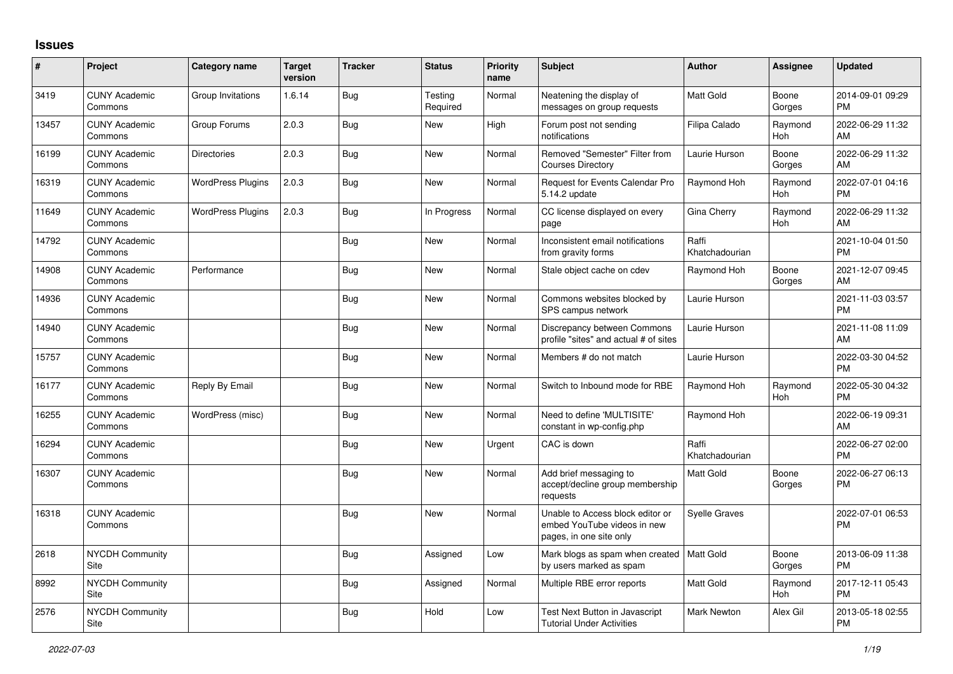## **Issues**

| #     | Project                         | <b>Category name</b>     | <b>Target</b><br>version | <b>Tracker</b> | <b>Status</b>       | <b>Priority</b><br>name | <b>Subject</b>                                                                             | <b>Author</b>           | <b>Assignee</b>       | <b>Updated</b>                |
|-------|---------------------------------|--------------------------|--------------------------|----------------|---------------------|-------------------------|--------------------------------------------------------------------------------------------|-------------------------|-----------------------|-------------------------------|
| 3419  | <b>CUNY Academic</b><br>Commons | Group Invitations        | 1.6.14                   | Bug            | Testing<br>Required | Normal                  | Neatening the display of<br>messages on group requests                                     | <b>Matt Gold</b>        | Boone<br>Gorges       | 2014-09-01 09:29<br><b>PM</b> |
| 13457 | <b>CUNY Academic</b><br>Commons | Group Forums             | 2.0.3                    | Bug            | New                 | High                    | Forum post not sending<br>notifications                                                    | Filipa Calado           | Raymond<br><b>Hoh</b> | 2022-06-29 11:32<br>AM        |
| 16199 | <b>CUNY Academic</b><br>Commons | <b>Directories</b>       | 2.0.3                    | <b>Bug</b>     | <b>New</b>          | Normal                  | Removed "Semester" Filter from<br><b>Courses Directory</b>                                 | Laurie Hurson           | Boone<br>Gorges       | 2022-06-29 11:32<br>AM        |
| 16319 | <b>CUNY Academic</b><br>Commons | <b>WordPress Plugins</b> | 2.0.3                    | <b>Bug</b>     | New                 | Normal                  | Request for Events Calendar Pro<br>5.14.2 update                                           | Raymond Hoh             | Raymond<br>Hoh        | 2022-07-01 04:16<br><b>PM</b> |
| 11649 | <b>CUNY Academic</b><br>Commons | <b>WordPress Plugins</b> | 2.0.3                    | Bug            | In Progress         | Normal                  | CC license displayed on every<br>page                                                      | Gina Cherry             | Raymond<br>Hoh        | 2022-06-29 11:32<br>AM        |
| 14792 | <b>CUNY Academic</b><br>Commons |                          |                          | Bug            | New                 | Normal                  | Inconsistent email notifications<br>from gravity forms                                     | Raffi<br>Khatchadourian |                       | 2021-10-04 01:50<br><b>PM</b> |
| 14908 | <b>CUNY Academic</b><br>Commons | Performance              |                          | <b>Bug</b>     | <b>New</b>          | Normal                  | Stale object cache on cdev                                                                 | Raymond Hoh             | Boone<br>Gorges       | 2021-12-07 09:45<br>AM        |
| 14936 | <b>CUNY Academic</b><br>Commons |                          |                          | Bug            | <b>New</b>          | Normal                  | Commons websites blocked by<br>SPS campus network                                          | Laurie Hurson           |                       | 2021-11-03 03:57<br><b>PM</b> |
| 14940 | <b>CUNY Academic</b><br>Commons |                          |                          | Bug            | New                 | Normal                  | Discrepancy between Commons<br>profile "sites" and actual # of sites                       | Laurie Hurson           |                       | 2021-11-08 11:09<br>AM        |
| 15757 | <b>CUNY Academic</b><br>Commons |                          |                          | <b>Bug</b>     | New                 | Normal                  | Members # do not match                                                                     | Laurie Hurson           |                       | 2022-03-30 04:52<br><b>PM</b> |
| 16177 | <b>CUNY Academic</b><br>Commons | Reply By Email           |                          | <b>Bug</b>     | New                 | Normal                  | Switch to Inbound mode for RBE                                                             | Raymond Hoh             | Raymond<br>Hoh        | 2022-05-30 04:32<br><b>PM</b> |
| 16255 | <b>CUNY Academic</b><br>Commons | WordPress (misc)         |                          | Bug            | New                 | Normal                  | Need to define 'MULTISITE'<br>constant in wp-config.php                                    | Raymond Hoh             |                       | 2022-06-19 09:31<br>AM        |
| 16294 | <b>CUNY Academic</b><br>Commons |                          |                          | Bug            | <b>New</b>          | Urgent                  | CAC is down                                                                                | Raffi<br>Khatchadourian |                       | 2022-06-27 02:00<br><b>PM</b> |
| 16307 | <b>CUNY Academic</b><br>Commons |                          |                          | Bug            | <b>New</b>          | Normal                  | Add brief messaging to<br>accept/decline group membership<br>requests                      | <b>Matt Gold</b>        | Boone<br>Gorges       | 2022-06-27 06:13<br><b>PM</b> |
| 16318 | <b>CUNY Academic</b><br>Commons |                          |                          | Bug            | <b>New</b>          | Normal                  | Unable to Access block editor or<br>embed YouTube videos in new<br>pages, in one site only | <b>Syelle Graves</b>    |                       | 2022-07-01 06:53<br><b>PM</b> |
| 2618  | <b>NYCDH Community</b><br>Site  |                          |                          | Bug            | Assigned            | Low                     | Mark blogs as spam when created<br>by users marked as spam                                 | Matt Gold               | Boone<br>Gorges       | 2013-06-09 11:38<br><b>PM</b> |
| 8992  | NYCDH Community<br>Site         |                          |                          | Bug            | Assigned            | Normal                  | Multiple RBE error reports                                                                 | <b>Matt Gold</b>        | Raymond<br>Hoh        | 2017-12-11 05:43<br><b>PM</b> |
| 2576  | NYCDH Community<br>Site         |                          |                          | <b>Bug</b>     | Hold                | Low                     | <b>Test Next Button in Javascript</b><br><b>Tutorial Under Activities</b>                  | <b>Mark Newton</b>      | Alex Gil              | 2013-05-18 02:55<br><b>PM</b> |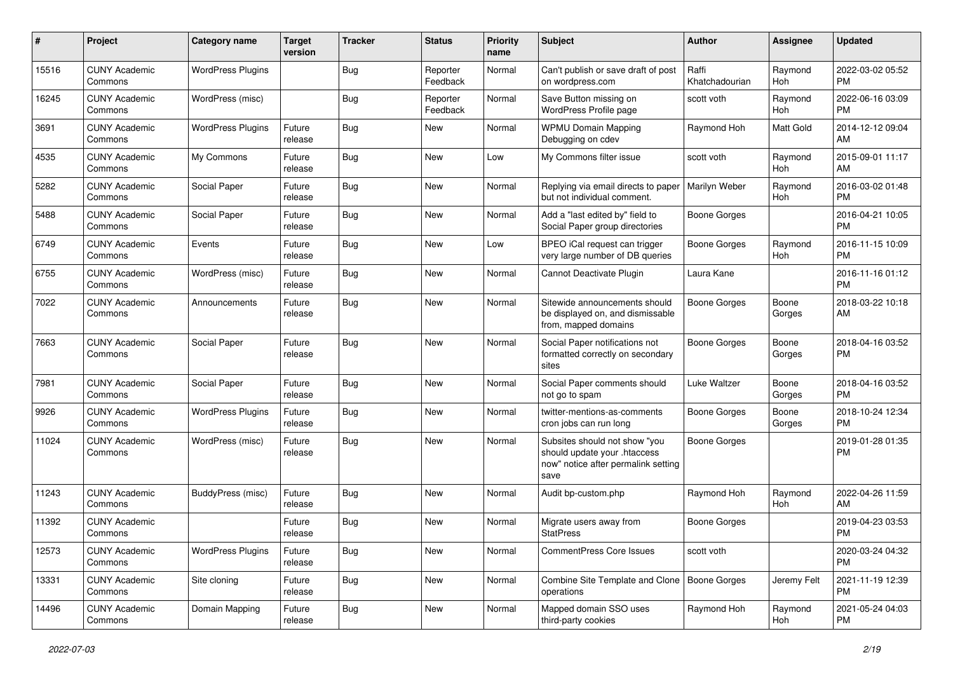| #     | Project                         | Category name            | <b>Target</b><br>version | <b>Tracker</b> | <b>Status</b>        | Priority<br>name | <b>Subject</b>                                                                                               | <b>Author</b>           | <b>Assignee</b> | <b>Updated</b>                |
|-------|---------------------------------|--------------------------|--------------------------|----------------|----------------------|------------------|--------------------------------------------------------------------------------------------------------------|-------------------------|-----------------|-------------------------------|
| 15516 | <b>CUNY Academic</b><br>Commons | <b>WordPress Plugins</b> |                          | <b>Bug</b>     | Reporter<br>Feedback | Normal           | Can't publish or save draft of post<br>on wordpress.com                                                      | Raffi<br>Khatchadourian | Raymond<br>Hoh  | 2022-03-02 05:52<br><b>PM</b> |
| 16245 | <b>CUNY Academic</b><br>Commons | WordPress (misc)         |                          | Bug            | Reporter<br>Feedback | Normal           | Save Button missing on<br>WordPress Profile page                                                             | scott voth              | Raymond<br>Hoh  | 2022-06-16 03:09<br><b>PM</b> |
| 3691  | <b>CUNY Academic</b><br>Commons | <b>WordPress Plugins</b> | Future<br>release        | Bug            | New                  | Normal           | <b>WPMU Domain Mapping</b><br>Debugging on cdev                                                              | Raymond Hoh             | Matt Gold       | 2014-12-12 09:04<br>AM        |
| 4535  | <b>CUNY Academic</b><br>Commons | My Commons               | Future<br>release        | Bug            | <b>New</b>           | Low              | My Commons filter issue                                                                                      | scott voth              | Raymond<br>Hoh  | 2015-09-01 11:17<br>AM        |
| 5282  | <b>CUNY Academic</b><br>Commons | Social Paper             | Future<br>release        | <b>Bug</b>     | <b>New</b>           | Normal           | Replying via email directs to paper<br>but not individual comment.                                           | Marilyn Weber           | Raymond<br>Hoh  | 2016-03-02 01:48<br><b>PM</b> |
| 5488  | <b>CUNY Academic</b><br>Commons | Social Paper             | Future<br>release        | Bug            | New                  | Normal           | Add a "last edited by" field to<br>Social Paper group directories                                            | <b>Boone Gorges</b>     |                 | 2016-04-21 10:05<br><b>PM</b> |
| 6749  | <b>CUNY Academic</b><br>Commons | Events                   | Future<br>release        | Bug            | <b>New</b>           | Low              | BPEO iCal request can trigger<br>very large number of DB queries                                             | <b>Boone Gorges</b>     | Raymond<br>Hoh  | 2016-11-15 10:09<br><b>PM</b> |
| 6755  | <b>CUNY Academic</b><br>Commons | WordPress (misc)         | Future<br>release        | Bug            | <b>New</b>           | Normal           | Cannot Deactivate Plugin                                                                                     | Laura Kane              |                 | 2016-11-16 01:12<br><b>PM</b> |
| 7022  | <b>CUNY Academic</b><br>Commons | Announcements            | Future<br>release        | Bug            | New                  | Normal           | Sitewide announcements should<br>be displayed on, and dismissable<br>from, mapped domains                    | <b>Boone Gorges</b>     | Boone<br>Gorges | 2018-03-22 10:18<br>AM        |
| 7663  | <b>CUNY Academic</b><br>Commons | Social Paper             | Future<br>release        | <b>Bug</b>     | <b>New</b>           | Normal           | Social Paper notifications not<br>formatted correctly on secondary<br>sites                                  | <b>Boone Gorges</b>     | Boone<br>Gorges | 2018-04-16 03:52<br><b>PM</b> |
| 7981  | <b>CUNY Academic</b><br>Commons | Social Paper             | Future<br>release        | Bug            | <b>New</b>           | Normal           | Social Paper comments should<br>not go to spam                                                               | Luke Waltzer            | Boone<br>Gorges | 2018-04-16 03:52<br><b>PM</b> |
| 9926  | <b>CUNY Academic</b><br>Commons | <b>WordPress Plugins</b> | Future<br>release        | Bug            | New                  | Normal           | twitter-mentions-as-comments<br>cron jobs can run long                                                       | Boone Gorges            | Boone<br>Gorges | 2018-10-24 12:34<br><b>PM</b> |
| 11024 | <b>CUNY Academic</b><br>Commons | WordPress (misc)         | Future<br>release        | Bug            | New                  | Normal           | Subsites should not show "you<br>should update your .htaccess<br>now" notice after permalink setting<br>save | Boone Gorges            |                 | 2019-01-28 01:35<br><b>PM</b> |
| 11243 | <b>CUNY Academic</b><br>Commons | BuddyPress (misc)        | Future<br>release        | Bug            | New                  | Normal           | Audit bp-custom.php                                                                                          | Raymond Hoh             | Raymond<br>Hoh  | 2022-04-26 11:59<br>AM        |
| 11392 | <b>CUNY Academic</b><br>Commons |                          | Future<br>release        | Bug            | <b>New</b>           | Normal           | Migrate users away from<br><b>StatPress</b>                                                                  | Boone Gorges            |                 | 2019-04-23 03:53<br><b>PM</b> |
| 12573 | <b>CUNY Academic</b><br>Commons | <b>WordPress Plugins</b> | Future<br>release        | <b>Bug</b>     | New                  | Normal           | CommentPress Core Issues                                                                                     | scott voth              |                 | 2020-03-24 04:32<br><b>PM</b> |
| 13331 | <b>CUNY Academic</b><br>Commons | Site cloning             | Future<br>release        | <b>Bug</b>     | New                  | Normal           | Combine Site Template and Clone   Boone Gorges<br>operations                                                 |                         | Jeremy Felt     | 2021-11-19 12:39<br><b>PM</b> |
| 14496 | <b>CUNY Academic</b><br>Commons | Domain Mapping           | Future<br>release        | <b>Bug</b>     | New                  | Normal           | Mapped domain SSO uses<br>third-party cookies                                                                | Raymond Hoh             | Raymond<br>Hoh  | 2021-05-24 04:03<br><b>PM</b> |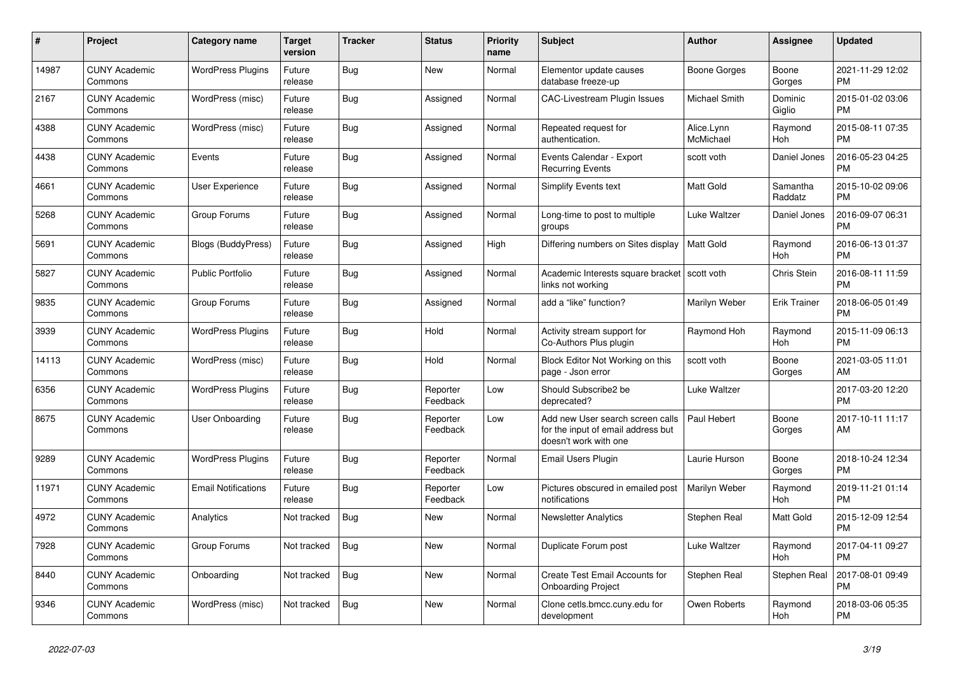| #     | Project                         | Category name              | <b>Target</b><br>version | Tracker    | <b>Status</b>        | <b>Priority</b><br>name | <b>Subject</b>                                                                                  | <b>Author</b>           | Assignee            | <b>Updated</b>                |
|-------|---------------------------------|----------------------------|--------------------------|------------|----------------------|-------------------------|-------------------------------------------------------------------------------------------------|-------------------------|---------------------|-------------------------------|
| 14987 | <b>CUNY Academic</b><br>Commons | <b>WordPress Plugins</b>   | Future<br>release        | Bug        | New                  | Normal                  | Elementor update causes<br>database freeze-up                                                   | Boone Gorges            | Boone<br>Gorges     | 2021-11-29 12:02<br><b>PM</b> |
| 2167  | <b>CUNY Academic</b><br>Commons | WordPress (misc)           | Future<br>release        | Bug        | Assigned             | Normal                  | <b>CAC-Livestream Plugin Issues</b>                                                             | Michael Smith           | Dominic<br>Giglio   | 2015-01-02 03:06<br><b>PM</b> |
| 4388  | <b>CUNY Academic</b><br>Commons | WordPress (misc)           | Future<br>release        | Bug        | Assigned             | Normal                  | Repeated request for<br>authentication.                                                         | Alice.Lynn<br>McMichael | Raymond<br>Hoh      | 2015-08-11 07:35<br><b>PM</b> |
| 4438  | <b>CUNY Academic</b><br>Commons | Events                     | Future<br>release        | <b>Bug</b> | Assigned             | Normal                  | Events Calendar - Export<br><b>Recurring Events</b>                                             | scott voth              | Daniel Jones        | 2016-05-23 04:25<br><b>PM</b> |
| 4661  | <b>CUNY Academic</b><br>Commons | User Experience            | Future<br>release        | Bug        | Assigned             | Normal                  | <b>Simplify Events text</b>                                                                     | <b>Matt Gold</b>        | Samantha<br>Raddatz | 2015-10-02 09:06<br><b>PM</b> |
| 5268  | <b>CUNY Academic</b><br>Commons | Group Forums               | Future<br>release        | <b>Bug</b> | Assigned             | Normal                  | Long-time to post to multiple<br>groups                                                         | Luke Waltzer            | Daniel Jones        | 2016-09-07 06:31<br><b>PM</b> |
| 5691  | <b>CUNY Academic</b><br>Commons | Blogs (BuddyPress)         | Future<br>release        | Bug        | Assigned             | High                    | Differing numbers on Sites display                                                              | Matt Gold               | Raymond<br>Hoh      | 2016-06-13 01:37<br><b>PM</b> |
| 5827  | <b>CUNY Academic</b><br>Commons | <b>Public Portfolio</b>    | Future<br>release        | Bug        | Assigned             | Normal                  | Academic Interests square bracket   scott voth<br>links not working                             |                         | Chris Stein         | 2016-08-11 11:59<br><b>PM</b> |
| 9835  | <b>CUNY Academic</b><br>Commons | Group Forums               | Future<br>release        | <b>Bug</b> | Assigned             | Normal                  | add a "like" function?                                                                          | Marilyn Weber           | <b>Erik Trainer</b> | 2018-06-05 01:49<br><b>PM</b> |
| 3939  | <b>CUNY Academic</b><br>Commons | <b>WordPress Plugins</b>   | Future<br>release        | <b>Bug</b> | Hold                 | Normal                  | Activity stream support for<br>Co-Authors Plus plugin                                           | Raymond Hoh             | Raymond<br>Hoh      | 2015-11-09 06:13<br><b>PM</b> |
| 14113 | <b>CUNY Academic</b><br>Commons | WordPress (misc)           | Future<br>release        | Bug        | Hold                 | Normal                  | Block Editor Not Working on this<br>page - Json error                                           | scott voth              | Boone<br>Gorges     | 2021-03-05 11:01<br>AM        |
| 6356  | <b>CUNY Academic</b><br>Commons | <b>WordPress Plugins</b>   | Future<br>release        | Bug        | Reporter<br>Feedback | Low                     | Should Subscribe2 be<br>deprecated?                                                             | Luke Waltzer            |                     | 2017-03-20 12:20<br><b>PM</b> |
| 8675  | <b>CUNY Academic</b><br>Commons | <b>User Onboarding</b>     | Future<br>release        | <b>Bug</b> | Reporter<br>Feedback | Low                     | Add new User search screen calls<br>for the input of email address but<br>doesn't work with one | Paul Hebert             | Boone<br>Gorges     | 2017-10-11 11:17<br>AM        |
| 9289  | <b>CUNY Academic</b><br>Commons | <b>WordPress Plugins</b>   | Future<br>release        | Bug        | Reporter<br>Feedback | Normal                  | Email Users Plugin                                                                              | Laurie Hurson           | Boone<br>Gorges     | 2018-10-24 12:34<br><b>PM</b> |
| 11971 | <b>CUNY Academic</b><br>Commons | <b>Email Notifications</b> | Future<br>release        | Bug        | Reporter<br>Feedback | Low                     | Pictures obscured in emailed post<br>notifications                                              | Marilyn Weber           | Raymond<br>Hoh      | 2019-11-21 01:14<br><b>PM</b> |
| 4972  | <b>CUNY Academic</b><br>Commons | Analytics                  | Not tracked              | <b>Bug</b> | New                  | Normal                  | <b>Newsletter Analytics</b>                                                                     | Stephen Real            | Matt Gold           | 2015-12-09 12:54<br><b>PM</b> |
| 7928  | <b>CUNY Academic</b><br>Commons | Group Forums               | Not tracked              | <b>Bug</b> | <b>New</b>           | Normal                  | Duplicate Forum post                                                                            | Luke Waltzer            | Raymond<br>Hoh      | 2017-04-11 09:27<br><b>PM</b> |
| 8440  | <b>CUNY Academic</b><br>Commons | Onboarding                 | Not tracked              | Bug        | <b>New</b>           | Normal                  | <b>Create Test Email Accounts for</b><br><b>Onboarding Project</b>                              | Stephen Real            | Stephen Real        | 2017-08-01 09:49<br><b>PM</b> |
| 9346  | <b>CUNY Academic</b><br>Commons | WordPress (misc)           | Not tracked              | Bug        | New                  | Normal                  | Clone cetls.bmcc.cuny.edu for<br>development                                                    | Owen Roberts            | Raymond<br>Hoh      | 2018-03-06 05:35<br>PM        |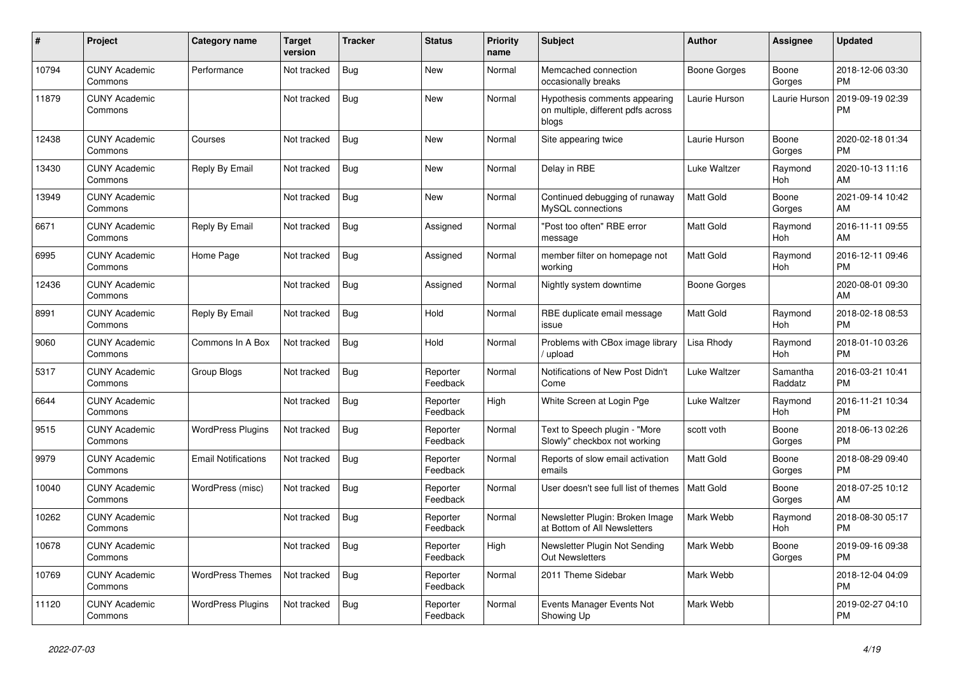| $\vert$ # | <b>Project</b>                  | Category name              | <b>Target</b><br>version | <b>Tracker</b> | <b>Status</b>        | <b>Priority</b><br>name | <b>Subject</b>                                                               | <b>Author</b>    | Assignee            | <b>Updated</b>                |
|-----------|---------------------------------|----------------------------|--------------------------|----------------|----------------------|-------------------------|------------------------------------------------------------------------------|------------------|---------------------|-------------------------------|
| 10794     | <b>CUNY Academic</b><br>Commons | Performance                | Not tracked              | Bug            | <b>New</b>           | Normal                  | Memcached connection<br>occasionally breaks                                  | Boone Gorges     | Boone<br>Gorges     | 2018-12-06 03:30<br><b>PM</b> |
| 11879     | <b>CUNY Academic</b><br>Commons |                            | Not tracked              | Bug            | <b>New</b>           | Normal                  | Hypothesis comments appearing<br>on multiple, different pdfs across<br>blogs | Laurie Hurson    | Laurie Hurson       | 2019-09-19 02:39<br><b>PM</b> |
| 12438     | <b>CUNY Academic</b><br>Commons | Courses                    | Not tracked              | Bug            | <b>New</b>           | Normal                  | Site appearing twice                                                         | Laurie Hurson    | Boone<br>Gorges     | 2020-02-18 01:34<br><b>PM</b> |
| 13430     | <b>CUNY Academic</b><br>Commons | Reply By Email             | Not tracked              | Bug            | <b>New</b>           | Normal                  | Delay in RBE                                                                 | Luke Waltzer     | Raymond<br>Hoh      | 2020-10-13 11:16<br>AM        |
| 13949     | <b>CUNY Academic</b><br>Commons |                            | Not tracked              | Bug            | New                  | Normal                  | Continued debugging of runaway<br>MySQL connections                          | <b>Matt Gold</b> | Boone<br>Gorges     | 2021-09-14 10:42<br>AM        |
| 6671      | <b>CUNY Academic</b><br>Commons | Reply By Email             | Not tracked              | Bug            | Assigned             | Normal                  | "Post too often" RBE error<br>message                                        | <b>Matt Gold</b> | Raymond<br>Hoh      | 2016-11-11 09:55<br>AM        |
| 6995      | <b>CUNY Academic</b><br>Commons | Home Page                  | Not tracked              | Bug            | Assigned             | Normal                  | member filter on homepage not<br>working                                     | <b>Matt Gold</b> | Raymond<br>Hoh      | 2016-12-11 09:46<br><b>PM</b> |
| 12436     | <b>CUNY Academic</b><br>Commons |                            | Not tracked              | Bug            | Assigned             | Normal                  | Nightly system downtime                                                      | Boone Gorges     |                     | 2020-08-01 09:30<br>AM        |
| 8991      | <b>CUNY Academic</b><br>Commons | Reply By Email             | Not tracked              | <b>Bug</b>     | Hold                 | Normal                  | RBE duplicate email message<br>issue                                         | <b>Matt Gold</b> | Raymond<br>Hoh      | 2018-02-18 08:53<br><b>PM</b> |
| 9060      | <b>CUNY Academic</b><br>Commons | Commons In A Box           | Not tracked              | Bug            | Hold                 | Normal                  | Problems with CBox image library<br>upload                                   | Lisa Rhody       | Raymond<br>Hoh      | 2018-01-10 03:26<br><b>PM</b> |
| 5317      | <b>CUNY Academic</b><br>Commons | Group Blogs                | Not tracked              | Bug            | Reporter<br>Feedback | Normal                  | Notifications of New Post Didn't<br>Come                                     | Luke Waltzer     | Samantha<br>Raddatz | 2016-03-21 10:41<br><b>PM</b> |
| 6644      | <b>CUNY Academic</b><br>Commons |                            | Not tracked              | Bug            | Reporter<br>Feedback | High                    | White Screen at Login Pge                                                    | Luke Waltzer     | Raymond<br>Hoh      | 2016-11-21 10:34<br><b>PM</b> |
| 9515      | <b>CUNY Academic</b><br>Commons | <b>WordPress Plugins</b>   | Not tracked              | Bug            | Reporter<br>Feedback | Normal                  | Text to Speech plugin - "More<br>Slowly" checkbox not working                | scott voth       | Boone<br>Gorges     | 2018-06-13 02:26<br><b>PM</b> |
| 9979      | <b>CUNY Academic</b><br>Commons | <b>Email Notifications</b> | Not tracked              | Bug            | Reporter<br>Feedback | Normal                  | Reports of slow email activation<br>emails                                   | <b>Matt Gold</b> | Boone<br>Gorges     | 2018-08-29 09:40<br><b>PM</b> |
| 10040     | <b>CUNY Academic</b><br>Commons | WordPress (misc)           | Not tracked              | Bug            | Reporter<br>Feedback | Normal                  | User doesn't see full list of themes                                         | Matt Gold        | Boone<br>Gorges     | 2018-07-25 10:12<br>AM        |
| 10262     | <b>CUNY Academic</b><br>Commons |                            | Not tracked              | Bug            | Reporter<br>Feedback | Normal                  | Newsletter Plugin: Broken Image<br>at Bottom of All Newsletters              | Mark Webb        | Raymond<br>Hoh      | 2018-08-30 05:17<br><b>PM</b> |
| 10678     | <b>CUNY Academic</b><br>Commons |                            | Not tracked              | Bug            | Reporter<br>Feedback | High                    | Newsletter Plugin Not Sending<br><b>Out Newsletters</b>                      | Mark Webb        | Boone<br>Gorges     | 2019-09-16 09:38<br><b>PM</b> |
| 10769     | <b>CUNY Academic</b><br>Commons | <b>WordPress Themes</b>    | Not tracked              | Bug            | Reporter<br>Feedback | Normal                  | 2011 Theme Sidebar                                                           | Mark Webb        |                     | 2018-12-04 04:09<br><b>PM</b> |
| 11120     | <b>CUNY Academic</b><br>Commons | <b>WordPress Plugins</b>   | Not tracked              | Bug            | Reporter<br>Feedback | Normal                  | Events Manager Events Not<br>Showing Up                                      | Mark Webb        |                     | 2019-02-27 04:10<br><b>PM</b> |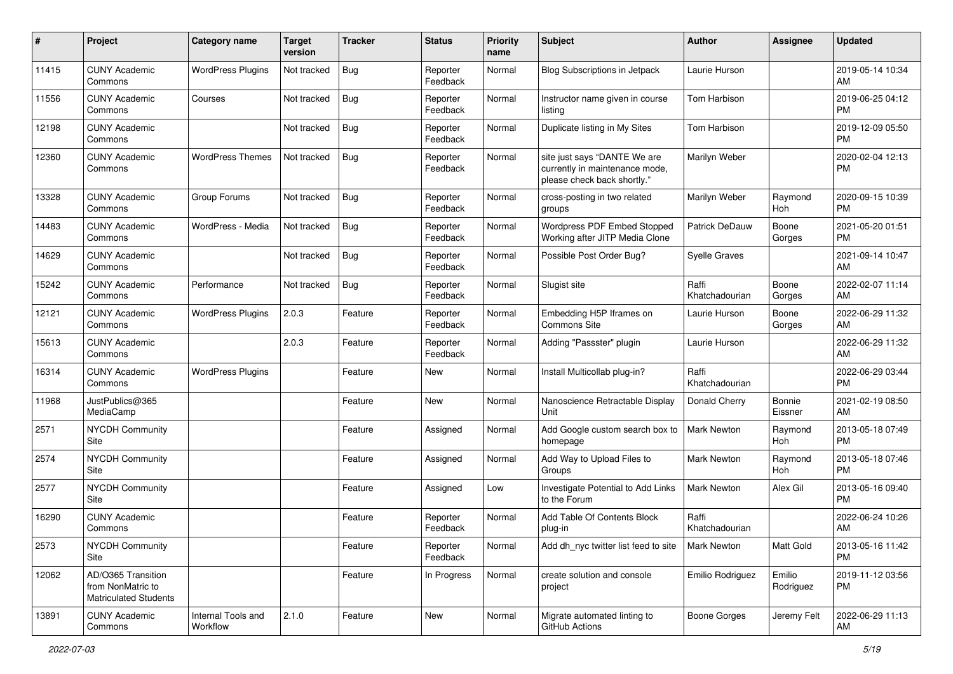| #     | Project                                                                 | <b>Category name</b>           | <b>Target</b><br>version | <b>Tracker</b> | <b>Status</b>        | Priority<br>name | <b>Subject</b>                                                                                | <b>Author</b>           | <b>Assignee</b>          | <b>Updated</b>                |
|-------|-------------------------------------------------------------------------|--------------------------------|--------------------------|----------------|----------------------|------------------|-----------------------------------------------------------------------------------------------|-------------------------|--------------------------|-------------------------------|
| 11415 | <b>CUNY Academic</b><br>Commons                                         | <b>WordPress Plugins</b>       | Not tracked              | <b>Bug</b>     | Reporter<br>Feedback | Normal           | <b>Blog Subscriptions in Jetpack</b>                                                          | Laurie Hurson           |                          | 2019-05-14 10:34<br>AM.       |
| 11556 | <b>CUNY Academic</b><br>Commons                                         | Courses                        | Not tracked              | <b>Bug</b>     | Reporter<br>Feedback | Normal           | Instructor name given in course<br>listing                                                    | Tom Harbison            |                          | 2019-06-25 04:12<br><b>PM</b> |
| 12198 | <b>CUNY Academic</b><br>Commons                                         |                                | Not tracked              | Bug            | Reporter<br>Feedback | Normal           | Duplicate listing in My Sites                                                                 | Tom Harbison            |                          | 2019-12-09 05:50<br><b>PM</b> |
| 12360 | <b>CUNY Academic</b><br>Commons                                         | <b>WordPress Themes</b>        | Not tracked              | <b>Bug</b>     | Reporter<br>Feedback | Normal           | site just says "DANTE We are<br>currently in maintenance mode,<br>please check back shortly." | Marilyn Weber           |                          | 2020-02-04 12:13<br><b>PM</b> |
| 13328 | <b>CUNY Academic</b><br>Commons                                         | Group Forums                   | Not tracked              | Bug            | Reporter<br>Feedback | Normal           | cross-posting in two related<br>groups                                                        | Marilyn Weber           | Raymond<br>Hoh           | 2020-09-15 10:39<br><b>PM</b> |
| 14483 | <b>CUNY Academic</b><br>Commons                                         | WordPress - Media              | Not tracked              | <b>Bug</b>     | Reporter<br>Feedback | Normal           | <b>Wordpress PDF Embed Stopped</b><br>Working after JITP Media Clone                          | Patrick DeDauw          | Boone<br>Gorges          | 2021-05-20 01:51<br><b>PM</b> |
| 14629 | <b>CUNY Academic</b><br>Commons                                         |                                | Not tracked              | Bug            | Reporter<br>Feedback | Normal           | Possible Post Order Bug?                                                                      | Syelle Graves           |                          | 2021-09-14 10:47<br>AM        |
| 15242 | <b>CUNY Academic</b><br>Commons                                         | Performance                    | Not tracked              | Bug            | Reporter<br>Feedback | Normal           | Slugist site                                                                                  | Raffi<br>Khatchadourian | Boone<br>Gorges          | 2022-02-07 11:14<br>AM        |
| 12121 | <b>CUNY Academic</b><br>Commons                                         | <b>WordPress Plugins</b>       | 2.0.3                    | Feature        | Reporter<br>Feedback | Normal           | Embedding H5P Iframes on<br><b>Commons Site</b>                                               | Laurie Hurson           | Boone<br>Gorges          | 2022-06-29 11:32<br>AM        |
| 15613 | <b>CUNY Academic</b><br>Commons                                         |                                | 2.0.3                    | Feature        | Reporter<br>Feedback | Normal           | Adding "Passster" plugin                                                                      | Laurie Hurson           |                          | 2022-06-29 11:32<br>AM        |
| 16314 | <b>CUNY Academic</b><br>Commons                                         | <b>WordPress Plugins</b>       |                          | Feature        | New                  | Normal           | Install Multicollab plug-in?                                                                  | Raffi<br>Khatchadourian |                          | 2022-06-29 03:44<br><b>PM</b> |
| 11968 | JustPublics@365<br>MediaCamp                                            |                                |                          | Feature        | New                  | Normal           | Nanoscience Retractable Display<br>Unit                                                       | Donald Cherry           | <b>Bonnie</b><br>Eissner | 2021-02-19 08:50<br>AM        |
| 2571  | <b>NYCDH Community</b><br>Site                                          |                                |                          | Feature        | Assigned             | Normal           | Add Google custom search box to<br>homepage                                                   | Mark Newton             | Raymond<br>Hoh           | 2013-05-18 07:49<br><b>PM</b> |
| 2574  | <b>NYCDH Community</b><br>Site                                          |                                |                          | Feature        | Assigned             | Normal           | Add Way to Upload Files to<br>Groups                                                          | Mark Newton             | Raymond<br>Hoh           | 2013-05-18 07:46<br><b>PM</b> |
| 2577  | <b>NYCDH Community</b><br>Site                                          |                                |                          | Feature        | Assigned             | Low              | Investigate Potential to Add Links<br>to the Forum                                            | Mark Newton             | Alex Gil                 | 2013-05-16 09:40<br><b>PM</b> |
| 16290 | <b>CUNY Academic</b><br>Commons                                         |                                |                          | Feature        | Reporter<br>Feedback | Normal           | Add Table Of Contents Block<br>plug-in                                                        | Raffi<br>Khatchadourian |                          | 2022-06-24 10:26<br>AM        |
| 2573  | <b>NYCDH Community</b><br>Site                                          |                                |                          | Feature        | Reporter<br>Feedback | Normal           | Add dh_nyc twitter list feed to site                                                          | Mark Newton             | Matt Gold                | 2013-05-16 11:42<br>PM        |
| 12062 | AD/O365 Transition<br>from NonMatric to<br><b>Matriculated Students</b> |                                |                          | Feature        | In Progress          | Normal           | create solution and console<br>project                                                        | Emilio Rodriguez        | Emilio<br>Rodriguez      | 2019-11-12 03:56<br><b>PM</b> |
| 13891 | <b>CUNY Academic</b><br>Commons                                         | Internal Tools and<br>Workflow | 2.1.0                    | Feature        | New                  | Normal           | Migrate automated linting to<br>GitHub Actions                                                | Boone Gorges            | Jeremy Felt              | 2022-06-29 11:13<br>AM        |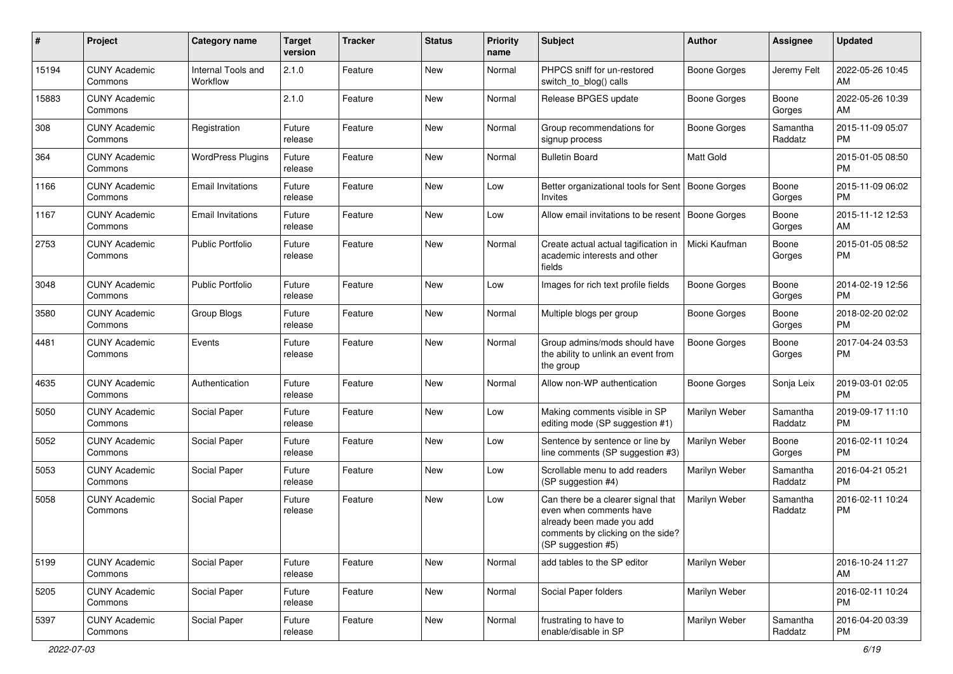| #     | Project                         | <b>Category name</b>           | <b>Target</b><br>version | <b>Tracker</b> | <b>Status</b> | Priority<br>name | <b>Subject</b>                                                                                                                                        | Author              | <b>Assignee</b>     | <b>Updated</b>                |
|-------|---------------------------------|--------------------------------|--------------------------|----------------|---------------|------------------|-------------------------------------------------------------------------------------------------------------------------------------------------------|---------------------|---------------------|-------------------------------|
| 15194 | <b>CUNY Academic</b><br>Commons | Internal Tools and<br>Workflow | 2.1.0                    | Feature        | <b>New</b>    | Normal           | PHPCS sniff for un-restored<br>switch_to_blog() calls                                                                                                 | <b>Boone Gorges</b> | Jeremy Felt         | 2022-05-26 10:45<br>AM        |
| 15883 | <b>CUNY Academic</b><br>Commons |                                | 2.1.0                    | Feature        | New           | Normal           | Release BPGES update                                                                                                                                  | <b>Boone Gorges</b> | Boone<br>Gorges     | 2022-05-26 10:39<br>AM        |
| 308   | <b>CUNY Academic</b><br>Commons | Registration                   | Future<br>release        | Feature        | <b>New</b>    | Normal           | Group recommendations for<br>signup process                                                                                                           | <b>Boone Gorges</b> | Samantha<br>Raddatz | 2015-11-09 05:07<br><b>PM</b> |
| 364   | <b>CUNY Academic</b><br>Commons | <b>WordPress Plugins</b>       | Future<br>release        | Feature        | <b>New</b>    | Normal           | <b>Bulletin Board</b>                                                                                                                                 | <b>Matt Gold</b>    |                     | 2015-01-05 08:50<br><b>PM</b> |
| 1166  | <b>CUNY Academic</b><br>Commons | <b>Email Invitations</b>       | Future<br>release        | Feature        | <b>New</b>    | Low              | Better organizational tools for Sent   Boone Gorges<br>Invites                                                                                        |                     | Boone<br>Gorges     | 2015-11-09 06:02<br><b>PM</b> |
| 1167  | <b>CUNY Academic</b><br>Commons | <b>Email Invitations</b>       | Future<br>release        | Feature        | New           | Low              | Allow email invitations to be resent   Boone Gorges                                                                                                   |                     | Boone<br>Gorges     | 2015-11-12 12:53<br>AM        |
| 2753  | <b>CUNY Academic</b><br>Commons | Public Portfolio               | Future<br>release        | Feature        | New           | Normal           | Create actual actual tagification in<br>academic interests and other<br>fields                                                                        | Micki Kaufman       | Boone<br>Gorges     | 2015-01-05 08:52<br><b>PM</b> |
| 3048  | <b>CUNY Academic</b><br>Commons | Public Portfolio               | Future<br>release        | Feature        | <b>New</b>    | Low              | Images for rich text profile fields                                                                                                                   | <b>Boone Gorges</b> | Boone<br>Gorges     | 2014-02-19 12:56<br><b>PM</b> |
| 3580  | <b>CUNY Academic</b><br>Commons | Group Blogs                    | Future<br>release        | Feature        | <b>New</b>    | Normal           | Multiple blogs per group                                                                                                                              | <b>Boone Gorges</b> | Boone<br>Gorges     | 2018-02-20 02:02<br><b>PM</b> |
| 4481  | <b>CUNY Academic</b><br>Commons | Events                         | Future<br>release        | Feature        | New           | Normal           | Group admins/mods should have<br>the ability to unlink an event from<br>the group                                                                     | <b>Boone Gorges</b> | Boone<br>Gorges     | 2017-04-24 03:53<br><b>PM</b> |
| 4635  | <b>CUNY Academic</b><br>Commons | Authentication                 | Future<br>release        | Feature        | <b>New</b>    | Normal           | Allow non-WP authentication                                                                                                                           | Boone Gorges        | Sonja Leix          | 2019-03-01 02:05<br><b>PM</b> |
| 5050  | <b>CUNY Academic</b><br>Commons | Social Paper                   | Future<br>release        | Feature        | New           | Low              | Making comments visible in SP<br>editing mode (SP suggestion #1)                                                                                      | Marilyn Weber       | Samantha<br>Raddatz | 2019-09-17 11:10<br><b>PM</b> |
| 5052  | <b>CUNY Academic</b><br>Commons | Social Paper                   | Future<br>release        | Feature        | <b>New</b>    | Low              | Sentence by sentence or line by<br>line comments (SP suggestion #3)                                                                                   | Marilyn Weber       | Boone<br>Gorges     | 2016-02-11 10:24<br><b>PM</b> |
| 5053  | <b>CUNY Academic</b><br>Commons | Social Paper                   | Future<br>release        | Feature        | <b>New</b>    | Low              | Scrollable menu to add readers<br>(SP suggestion #4)                                                                                                  | Marilyn Weber       | Samantha<br>Raddatz | 2016-04-21 05:21<br><b>PM</b> |
| 5058  | <b>CUNY Academic</b><br>Commons | Social Paper                   | Future<br>release        | Feature        | New           | Low              | Can there be a clearer signal that<br>even when comments have<br>already been made you add<br>comments by clicking on the side?<br>(SP suggestion #5) | Marilyn Weber       | Samantha<br>Raddatz | 2016-02-11 10:24<br><b>PM</b> |
| 5199  | <b>CUNY Academic</b><br>Commons | Social Paper                   | Future<br>release        | Feature        | New           | Normal           | add tables to the SP editor                                                                                                                           | Marilyn Weber       |                     | 2016-10-24 11:27<br>AM        |
| 5205  | <b>CUNY Academic</b><br>Commons | Social Paper                   | Future<br>release        | Feature        | New           | Normal           | Social Paper folders                                                                                                                                  | Marilyn Weber       |                     | 2016-02-11 10:24<br><b>PM</b> |
| 5397  | <b>CUNY Academic</b><br>Commons | Social Paper                   | Future<br>release        | Feature        | New           | Normal           | frustrating to have to<br>enable/disable in SP                                                                                                        | Marilyn Weber       | Samantha<br>Raddatz | 2016-04-20 03:39<br>PM        |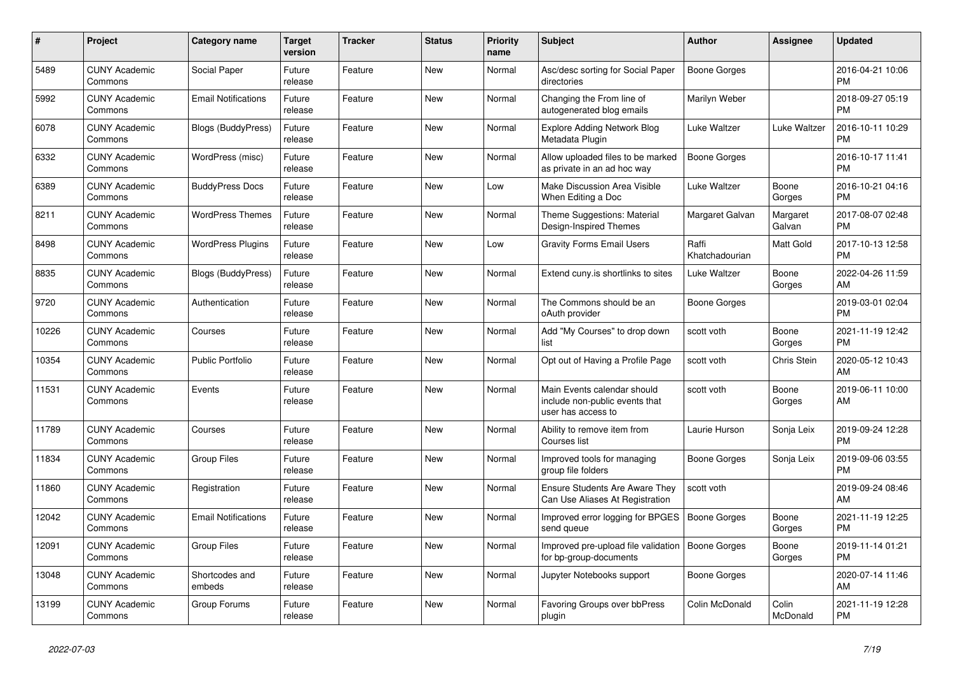| $\pmb{\sharp}$ | <b>Project</b>                  | Category name              | Target<br>version | <b>Tracker</b> | <b>Status</b> | <b>Priority</b><br>name | <b>Subject</b>                                                                      | <b>Author</b>           | Assignee           | <b>Updated</b>                |
|----------------|---------------------------------|----------------------------|-------------------|----------------|---------------|-------------------------|-------------------------------------------------------------------------------------|-------------------------|--------------------|-------------------------------|
| 5489           | <b>CUNY Academic</b><br>Commons | Social Paper               | Future<br>release | Feature        | New           | Normal                  | Asc/desc sorting for Social Paper<br>directories                                    | Boone Gorges            |                    | 2016-04-21 10:06<br><b>PM</b> |
| 5992           | <b>CUNY Academic</b><br>Commons | <b>Email Notifications</b> | Future<br>release | Feature        | New           | Normal                  | Changing the From line of<br>autogenerated blog emails                              | Marilyn Weber           |                    | 2018-09-27 05:19<br><b>PM</b> |
| 6078           | <b>CUNY Academic</b><br>Commons | <b>Blogs (BuddyPress)</b>  | Future<br>release | Feature        | New           | Normal                  | <b>Explore Adding Network Blog</b><br>Metadata Plugin                               | Luke Waltzer            | Luke Waltzer       | 2016-10-11 10:29<br><b>PM</b> |
| 6332           | <b>CUNY Academic</b><br>Commons | WordPress (misc)           | Future<br>release | Feature        | <b>New</b>    | Normal                  | Allow uploaded files to be marked<br>as private in an ad hoc way                    | <b>Boone Gorges</b>     |                    | 2016-10-17 11:41<br><b>PM</b> |
| 6389           | <b>CUNY Academic</b><br>Commons | <b>BuddyPress Docs</b>     | Future<br>release | Feature        | New           | Low                     | Make Discussion Area Visible<br>When Editing a Doc                                  | Luke Waltzer            | Boone<br>Gorges    | 2016-10-21 04:16<br><b>PM</b> |
| 8211           | <b>CUNY Academic</b><br>Commons | <b>WordPress Themes</b>    | Future<br>release | Feature        | New           | Normal                  | Theme Suggestions: Material<br>Design-Inspired Themes                               | Margaret Galvan         | Margaret<br>Galvan | 2017-08-07 02:48<br><b>PM</b> |
| 8498           | <b>CUNY Academic</b><br>Commons | <b>WordPress Plugins</b>   | Future<br>release | Feature        | <b>New</b>    | Low                     | <b>Gravity Forms Email Users</b>                                                    | Raffi<br>Khatchadourian | Matt Gold          | 2017-10-13 12:58<br><b>PM</b> |
| 8835           | <b>CUNY Academic</b><br>Commons | Blogs (BuddyPress)         | Future<br>release | Feature        | <b>New</b>    | Normal                  | Extend cuny is shortlinks to sites                                                  | Luke Waltzer            | Boone<br>Gorges    | 2022-04-26 11:59<br>AM        |
| 9720           | <b>CUNY Academic</b><br>Commons | Authentication             | Future<br>release | Feature        | <b>New</b>    | Normal                  | The Commons should be an<br>oAuth provider                                          | Boone Gorges            |                    | 2019-03-01 02:04<br><b>PM</b> |
| 10226          | <b>CUNY Academic</b><br>Commons | Courses                    | Future<br>release | Feature        | New           | Normal                  | Add "My Courses" to drop down<br>list                                               | scott voth              | Boone<br>Gorges    | 2021-11-19 12:42<br><b>PM</b> |
| 10354          | <b>CUNY Academic</b><br>Commons | <b>Public Portfolio</b>    | Future<br>release | Feature        | <b>New</b>    | Normal                  | Opt out of Having a Profile Page                                                    | scott voth              | Chris Stein        | 2020-05-12 10:43<br>AM        |
| 11531          | <b>CUNY Academic</b><br>Commons | Events                     | Future<br>release | Feature        | <b>New</b>    | Normal                  | Main Events calendar should<br>include non-public events that<br>user has access to | scott voth              | Boone<br>Gorges    | 2019-06-11 10:00<br>AM.       |
| 11789          | <b>CUNY Academic</b><br>Commons | Courses                    | Future<br>release | Feature        | New           | Normal                  | Ability to remove item from<br>Courses list                                         | Laurie Hurson           | Sonja Leix         | 2019-09-24 12:28<br><b>PM</b> |
| 11834          | <b>CUNY Academic</b><br>Commons | <b>Group Files</b>         | Future<br>release | Feature        | <b>New</b>    | Normal                  | Improved tools for managing<br>group file folders                                   | Boone Gorges            | Sonja Leix         | 2019-09-06 03:55<br><b>PM</b> |
| 11860          | <b>CUNY Academic</b><br>Commons | Registration               | Future<br>release | Feature        | New           | Normal                  | <b>Ensure Students Are Aware They</b><br>Can Use Aliases At Registration            | scott voth              |                    | 2019-09-24 08:46<br>AM        |
| 12042          | <b>CUNY Academic</b><br>Commons | <b>Email Notifications</b> | Future<br>release | Feature        | New           | Normal                  | Improved error logging for BPGES<br>send queue                                      | Boone Gorges            | Boone<br>Gorges    | 2021-11-19 12:25<br><b>PM</b> |
| 12091          | <b>CUNY Academic</b><br>Commons | <b>Group Files</b>         | Future<br>release | Feature        | <b>New</b>    | Normal                  | Improved pre-upload file validation   Boone Gorges<br>for bp-group-documents        |                         | Boone<br>Gorges    | 2019-11-14 01:21<br><b>PM</b> |
| 13048          | <b>CUNY Academic</b><br>Commons | Shortcodes and<br>embeds   | Future<br>release | Feature        | New           | Normal                  | Jupyter Notebooks support                                                           | Boone Gorges            |                    | 2020-07-14 11:46<br>AM        |
| 13199          | <b>CUNY Academic</b><br>Commons | Group Forums               | Future<br>release | Feature        | <b>New</b>    | Normal                  | Favoring Groups over bbPress<br>plugin                                              | Colin McDonald          | Colin<br>McDonald  | 2021-11-19 12:28<br>PM        |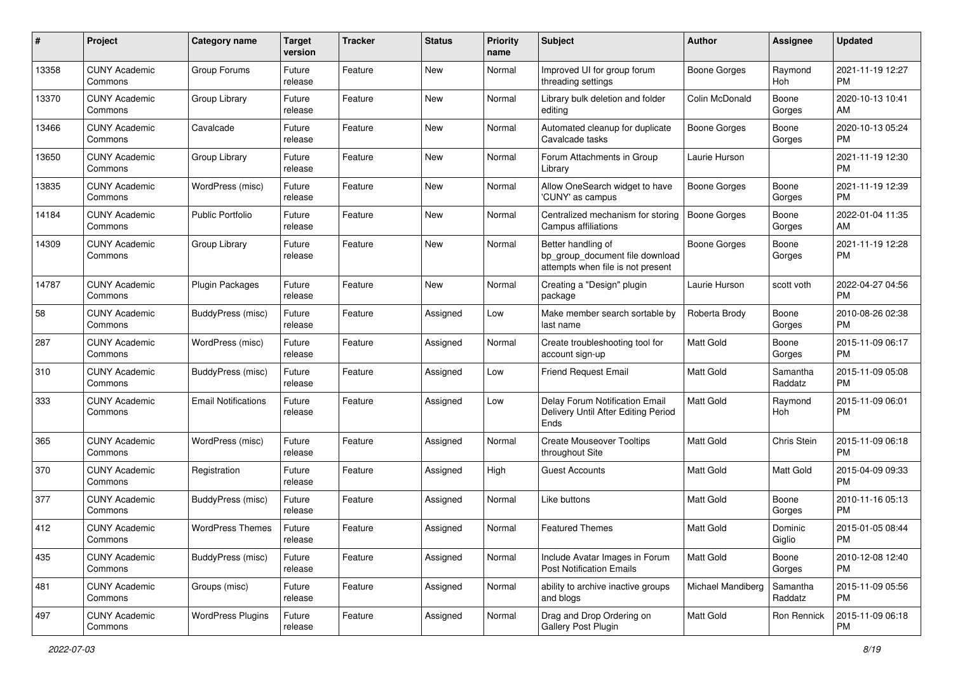| #     | Project                         | <b>Category name</b>       | <b>Target</b><br>version | <b>Tracker</b> | <b>Status</b> | <b>Priority</b><br>name | <b>Subject</b>                                                                             | <b>Author</b>       | <b>Assignee</b>     | <b>Updated</b>                |
|-------|---------------------------------|----------------------------|--------------------------|----------------|---------------|-------------------------|--------------------------------------------------------------------------------------------|---------------------|---------------------|-------------------------------|
| 13358 | <b>CUNY Academic</b><br>Commons | Group Forums               | Future<br>release        | Feature        | <b>New</b>    | Normal                  | Improved UI for group forum<br>threading settings                                          | <b>Boone Gorges</b> | Raymond<br>Hoh      | 2021-11-19 12:27<br>PM.       |
| 13370 | <b>CUNY Academic</b><br>Commons | Group Library              | Future<br>release        | Feature        | New           | Normal                  | Library bulk deletion and folder<br>editing                                                | Colin McDonald      | Boone<br>Gorges     | 2020-10-13 10:41<br>AM        |
| 13466 | <b>CUNY Academic</b><br>Commons | Cavalcade                  | Future<br>release        | Feature        | New           | Normal                  | Automated cleanup for duplicate<br>Cavalcade tasks                                         | Boone Gorges        | Boone<br>Gorges     | 2020-10-13 05:24<br><b>PM</b> |
| 13650 | <b>CUNY Academic</b><br>Commons | Group Library              | Future<br>release        | Feature        | New           | Normal                  | Forum Attachments in Group<br>Library                                                      | Laurie Hurson       |                     | 2021-11-19 12:30<br><b>PM</b> |
| 13835 | <b>CUNY Academic</b><br>Commons | WordPress (misc)           | Future<br>release        | Feature        | New           | Normal                  | Allow OneSearch widget to have<br>'CUNY' as campus                                         | Boone Gorges        | Boone<br>Gorges     | 2021-11-19 12:39<br><b>PM</b> |
| 14184 | <b>CUNY Academic</b><br>Commons | <b>Public Portfolio</b>    | Future<br>release        | Feature        | New           | Normal                  | Centralized mechanism for storing<br>Campus affiliations                                   | <b>Boone Gorges</b> | Boone<br>Gorges     | 2022-01-04 11:35<br>AM.       |
| 14309 | <b>CUNY Academic</b><br>Commons | Group Library              | Future<br>release        | Feature        | New           | Normal                  | Better handling of<br>bp_group_document file download<br>attempts when file is not present | <b>Boone Gorges</b> | Boone<br>Gorges     | 2021-11-19 12:28<br>PM.       |
| 14787 | <b>CUNY Academic</b><br>Commons | Plugin Packages            | Future<br>release        | Feature        | New           | Normal                  | Creating a "Design" plugin<br>package                                                      | Laurie Hurson       | scott voth          | 2022-04-27 04:56<br>PM.       |
| 58    | <b>CUNY Academic</b><br>Commons | <b>BuddyPress</b> (misc)   | Future<br>release        | Feature        | Assigned      | Low                     | Make member search sortable by<br>last name                                                | Roberta Brody       | Boone<br>Gorges     | 2010-08-26 02:38<br>PM.       |
| 287   | <b>CUNY Academic</b><br>Commons | WordPress (misc)           | Future<br>release        | Feature        | Assigned      | Normal                  | Create troubleshooting tool for<br>account sign-up                                         | <b>Matt Gold</b>    | Boone<br>Gorges     | 2015-11-09 06:17<br><b>PM</b> |
| 310   | <b>CUNY Academic</b><br>Commons | BuddyPress (misc)          | Future<br>release        | Feature        | Assigned      | Low                     | <b>Friend Request Email</b>                                                                | Matt Gold           | Samantha<br>Raddatz | 2015-11-09 05:08<br><b>PM</b> |
| 333   | <b>CUNY Academic</b><br>Commons | <b>Email Notifications</b> | Future<br>release        | Feature        | Assigned      | Low                     | Delay Forum Notification Email<br>Delivery Until After Editing Period<br>Ends              | <b>Matt Gold</b>    | Raymond<br>Hoh      | 2015-11-09 06:01<br><b>PM</b> |
| 365   | <b>CUNY Academic</b><br>Commons | WordPress (misc)           | Future<br>release        | Feature        | Assigned      | Normal                  | <b>Create Mouseover Tooltips</b><br>throughout Site                                        | Matt Gold           | Chris Stein         | 2015-11-09 06:18<br>PM.       |
| 370   | <b>CUNY Academic</b><br>Commons | Registration               | Future<br>release        | Feature        | Assigned      | High                    | <b>Guest Accounts</b>                                                                      | Matt Gold           | Matt Gold           | 2015-04-09 09:33<br><b>PM</b> |
| 377   | <b>CUNY Academic</b><br>Commons | <b>BuddyPress</b> (misc)   | Future<br>release        | Feature        | Assigned      | Normal                  | Like buttons                                                                               | Matt Gold           | Boone<br>Gorges     | 2010-11-16 05:13<br><b>PM</b> |
| 412   | <b>CUNY Academic</b><br>Commons | <b>WordPress Themes</b>    | Future<br>release        | Feature        | Assigned      | Normal                  | <b>Featured Themes</b>                                                                     | Matt Gold           | Dominic<br>Giglio   | 2015-01-05 08:44<br><b>PM</b> |
| 435   | <b>CUNY Academic</b><br>Commons | BuddyPress (misc)          | Future<br>release        | Feature        | Assigned      | Normal                  | Include Avatar Images in Forum<br><b>Post Notification Emails</b>                          | <b>Matt Gold</b>    | Boone<br>Gorges     | 2010-12-08 12:40<br>PM        |
| 481   | <b>CUNY Academic</b><br>Commons | Groups (misc)              | Future<br>release        | Feature        | Assigned      | Normal                  | ability to archive inactive groups<br>and blogs                                            | Michael Mandiberg   | Samantha<br>Raddatz | 2015-11-09 05:56<br><b>PM</b> |
| 497   | <b>CUNY Academic</b><br>Commons | <b>WordPress Plugins</b>   | Future<br>release        | Feature        | Assigned      | Normal                  | Drag and Drop Ordering on<br>Gallery Post Plugin                                           | Matt Gold           | Ron Rennick         | 2015-11-09 06:18<br><b>PM</b> |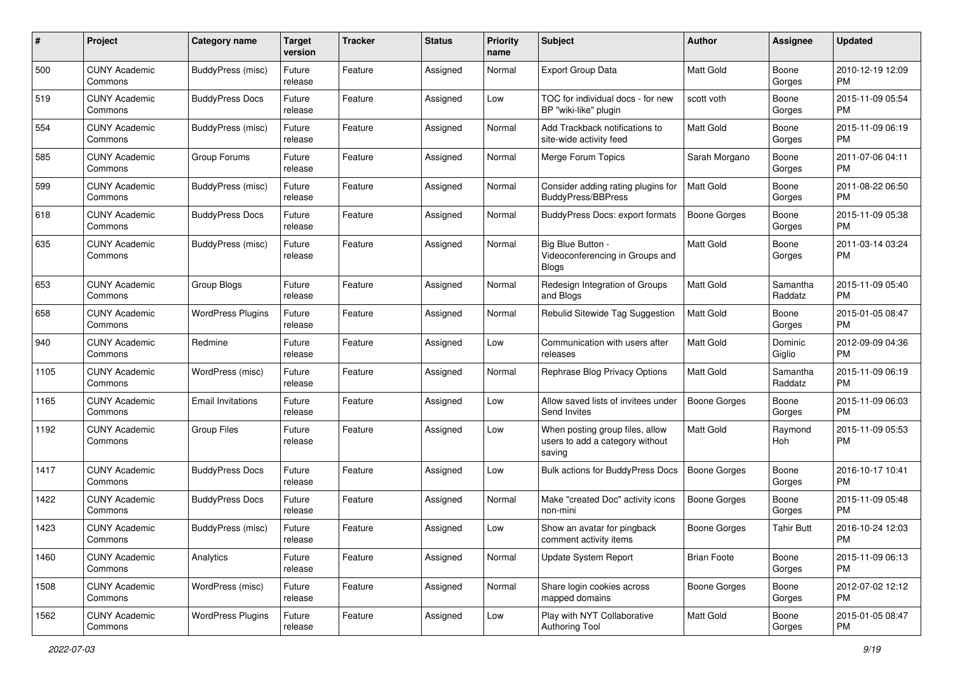| #    | Project                         | <b>Category name</b>     | <b>Target</b><br>version | <b>Tracker</b> | <b>Status</b> | Priority<br>name | <b>Subject</b>                                                               | <b>Author</b>       | <b>Assignee</b>     | <b>Updated</b>                |
|------|---------------------------------|--------------------------|--------------------------|----------------|---------------|------------------|------------------------------------------------------------------------------|---------------------|---------------------|-------------------------------|
| 500  | <b>CUNY Academic</b><br>Commons | BuddyPress (misc)        | Future<br>release        | Feature        | Assigned      | Normal           | <b>Export Group Data</b>                                                     | <b>Matt Gold</b>    | Boone<br>Gorges     | 2010-12-19 12:09<br>PM.       |
| 519  | <b>CUNY Academic</b><br>Commons | <b>BuddyPress Docs</b>   | Future<br>release        | Feature        | Assigned      | Low              | TOC for individual docs - for new<br>BP "wiki-like" plugin                   | scott voth          | Boone<br>Gorges     | 2015-11-09 05:54<br>PM.       |
| 554  | <b>CUNY Academic</b><br>Commons | BuddyPress (misc)        | Future<br>release        | Feature        | Assigned      | Normal           | Add Trackback notifications to<br>site-wide activity feed                    | Matt Gold           | Boone<br>Gorges     | 2015-11-09 06:19<br>PM.       |
| 585  | <b>CUNY Academic</b><br>Commons | Group Forums             | Future<br>release        | Feature        | Assigned      | Normal           | Merge Forum Topics                                                           | Sarah Morgano       | Boone<br>Gorges     | 2011-07-06 04:11<br>PM        |
| 599  | <b>CUNY Academic</b><br>Commons | BuddyPress (misc)        | Future<br>release        | Feature        | Assigned      | Normal           | Consider adding rating plugins for<br><b>BuddyPress/BBPress</b>              | <b>Matt Gold</b>    | Boone<br>Gorges     | 2011-08-22 06:50<br><b>PM</b> |
| 618  | <b>CUNY Academic</b><br>Commons | <b>BuddyPress Docs</b>   | Future<br>release        | Feature        | Assigned      | Normal           | BuddyPress Docs: export formats                                              | <b>Boone Gorges</b> | Boone<br>Gorges     | 2015-11-09 05:38<br>PM.       |
| 635  | <b>CUNY Academic</b><br>Commons | BuddyPress (misc)        | Future<br>release        | Feature        | Assigned      | Normal           | Big Blue Button -<br>Videoconferencing in Groups and<br><b>Blogs</b>         | Matt Gold           | Boone<br>Gorges     | 2011-03-14 03:24<br>PM        |
| 653  | <b>CUNY Academic</b><br>Commons | Group Blogs              | Future<br>release        | Feature        | Assigned      | Normal           | Redesign Integration of Groups<br>and Blogs                                  | Matt Gold           | Samantha<br>Raddatz | 2015-11-09 05:40<br><b>PM</b> |
| 658  | <b>CUNY Academic</b><br>Commons | <b>WordPress Plugins</b> | Future<br>release        | Feature        | Assigned      | Normal           | Rebulid Sitewide Tag Suggestion                                              | Matt Gold           | Boone<br>Gorges     | 2015-01-05 08:47<br>PM.       |
| 940  | <b>CUNY Academic</b><br>Commons | Redmine                  | Future<br>release        | Feature        | Assigned      | Low              | Communication with users after<br>releases                                   | Matt Gold           | Dominic<br>Giglio   | 2012-09-09 04:36<br><b>PM</b> |
| 1105 | <b>CUNY Academic</b><br>Commons | WordPress (misc)         | Future<br>release        | Feature        | Assigned      | Normal           | Rephrase Blog Privacy Options                                                | <b>Matt Gold</b>    | Samantha<br>Raddatz | 2015-11-09 06:19<br>PM.       |
| 1165 | <b>CUNY Academic</b><br>Commons | <b>Email Invitations</b> | Future<br>release        | Feature        | Assigned      | Low              | Allow saved lists of invitees under<br>Send Invites                          | Boone Gorges        | Boone<br>Gorges     | 2015-11-09 06:03<br>PM.       |
| 1192 | <b>CUNY Academic</b><br>Commons | <b>Group Files</b>       | Future<br>release        | Feature        | Assigned      | Low              | When posting group files, allow<br>users to add a category without<br>saving | Matt Gold           | Raymond<br>Hoh      | 2015-11-09 05:53<br>PM.       |
| 1417 | <b>CUNY Academic</b><br>Commons | <b>BuddyPress Docs</b>   | Future<br>release        | Feature        | Assigned      | Low              | <b>Bulk actions for BuddyPress Docs</b>                                      | <b>Boone Gorges</b> | Boone<br>Gorges     | 2016-10-17 10:41<br>PM.       |
| 1422 | <b>CUNY Academic</b><br>Commons | <b>BuddyPress Docs</b>   | Future<br>release        | Feature        | Assigned      | Normal           | Make "created Doc" activity icons<br>non-mini                                | <b>Boone Gorges</b> | Boone<br>Gorges     | 2015-11-09 05:48<br>PM.       |
| 1423 | <b>CUNY Academic</b><br>Commons | <b>BuddyPress (misc)</b> | Future<br>release        | Feature        | Assigned      | Low              | Show an avatar for pingback<br>comment activity items                        | Boone Gorges        | <b>Tahir Butt</b>   | 2016-10-24 12:03<br>PM        |
| 1460 | <b>CUNY Academic</b><br>Commons | Analytics                | Future<br>release        | Feature        | Assigned      | Normal           | <b>Update System Report</b>                                                  | <b>Brian Foote</b>  | Boone<br>Gorges     | 2015-11-09 06:13<br>PM.       |
| 1508 | <b>CUNY Academic</b><br>Commons | WordPress (misc)         | Future<br>release        | Feature        | Assigned      | Normal           | Share login cookies across<br>mapped domains                                 | Boone Gorges        | Boone<br>Gorges     | 2012-07-02 12:12<br><b>PM</b> |
| 1562 | <b>CUNY Academic</b><br>Commons | <b>WordPress Plugins</b> | Future<br>release        | Feature        | Assigned      | Low              | Play with NYT Collaborative<br>Authoring Tool                                | Matt Gold           | Boone<br>Gorges     | 2015-01-05 08:47<br><b>PM</b> |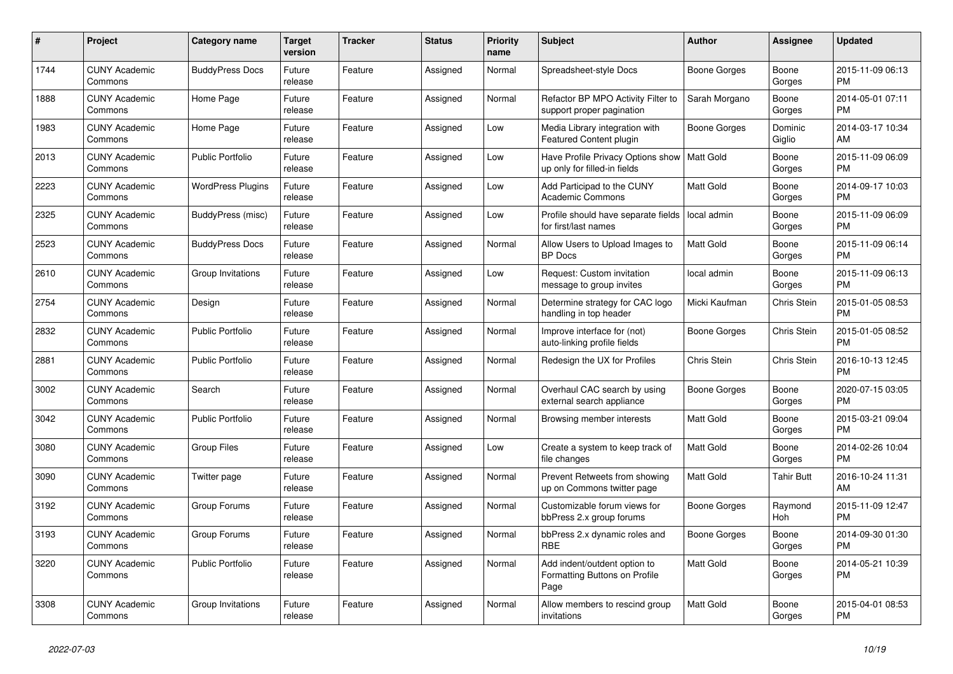| $\pmb{\#}$ | <b>Project</b>                  | <b>Category name</b>     | <b>Target</b><br>version | <b>Tracker</b> | <b>Status</b> | <b>Priority</b><br>name | <b>Subject</b>                                                        | <b>Author</b>    | Assignee          | <b>Updated</b>                |
|------------|---------------------------------|--------------------------|--------------------------|----------------|---------------|-------------------------|-----------------------------------------------------------------------|------------------|-------------------|-------------------------------|
| 1744       | <b>CUNY Academic</b><br>Commons | <b>BuddyPress Docs</b>   | Future<br>release        | Feature        | Assigned      | Normal                  | Spreadsheet-style Docs                                                | Boone Gorges     | Boone<br>Gorges   | 2015-11-09 06:13<br><b>PM</b> |
| 1888       | <b>CUNY Academic</b><br>Commons | Home Page                | Future<br>release        | Feature        | Assigned      | Normal                  | Refactor BP MPO Activity Filter to<br>support proper pagination       | Sarah Morgano    | Boone<br>Gorges   | 2014-05-01 07:11<br><b>PM</b> |
| 1983       | <b>CUNY Academic</b><br>Commons | Home Page                | Future<br>release        | Feature        | Assigned      | Low                     | Media Library integration with<br><b>Featured Content plugin</b>      | Boone Gorges     | Dominic<br>Giglio | 2014-03-17 10:34<br>AM        |
| 2013       | <b>CUNY Academic</b><br>Commons | <b>Public Portfolio</b>  | Future<br>release        | Feature        | Assigned      | Low                     | Have Profile Privacy Options show<br>up only for filled-in fields     | Matt Gold        | Boone<br>Gorges   | 2015-11-09 06:09<br><b>PM</b> |
| 2223       | <b>CUNY Academic</b><br>Commons | <b>WordPress Plugins</b> | Future<br>release        | Feature        | Assigned      | Low                     | Add Participad to the CUNY<br><b>Academic Commons</b>                 | Matt Gold        | Boone<br>Gorges   | 2014-09-17 10:03<br><b>PM</b> |
| 2325       | <b>CUNY Academic</b><br>Commons | BuddyPress (misc)        | Future<br>release        | Feature        | Assigned      | Low                     | Profile should have separate fields<br>for first/last names           | local admin      | Boone<br>Gorges   | 2015-11-09 06:09<br><b>PM</b> |
| 2523       | <b>CUNY Academic</b><br>Commons | <b>BuddyPress Docs</b>   | Future<br>release        | Feature        | Assigned      | Normal                  | Allow Users to Upload Images to<br><b>BP</b> Docs                     | <b>Matt Gold</b> | Boone<br>Gorges   | 2015-11-09 06:14<br><b>PM</b> |
| 2610       | <b>CUNY Academic</b><br>Commons | Group Invitations        | Future<br>release        | Feature        | Assigned      | Low                     | Request: Custom invitation<br>message to group invites                | local admin      | Boone<br>Gorges   | 2015-11-09 06:13<br><b>PM</b> |
| 2754       | <b>CUNY Academic</b><br>Commons | Design                   | Future<br>release        | Feature        | Assigned      | Normal                  | Determine strategy for CAC logo<br>handling in top header             | Micki Kaufman    | Chris Stein       | 2015-01-05 08:53<br><b>PM</b> |
| 2832       | <b>CUNY Academic</b><br>Commons | <b>Public Portfolio</b>  | Future<br>release        | Feature        | Assigned      | Normal                  | Improve interface for (not)<br>auto-linking profile fields            | Boone Gorges     | Chris Stein       | 2015-01-05 08:52<br><b>PM</b> |
| 2881       | <b>CUNY Academic</b><br>Commons | <b>Public Portfolio</b>  | Future<br>release        | Feature        | Assigned      | Normal                  | Redesign the UX for Profiles                                          | Chris Stein      | Chris Stein       | 2016-10-13 12:45<br><b>PM</b> |
| 3002       | <b>CUNY Academic</b><br>Commons | Search                   | Future<br>release        | Feature        | Assigned      | Normal                  | Overhaul CAC search by using<br>external search appliance             | Boone Gorges     | Boone<br>Gorges   | 2020-07-15 03:05<br><b>PM</b> |
| 3042       | <b>CUNY Academic</b><br>Commons | <b>Public Portfolio</b>  | Future<br>release        | Feature        | Assigned      | Normal                  | Browsing member interests                                             | <b>Matt Gold</b> | Boone<br>Gorges   | 2015-03-21 09:04<br><b>PM</b> |
| 3080       | <b>CUNY Academic</b><br>Commons | <b>Group Files</b>       | Future<br>release        | Feature        | Assigned      | Low                     | Create a system to keep track of<br>file changes                      | <b>Matt Gold</b> | Boone<br>Gorges   | 2014-02-26 10:04<br><b>PM</b> |
| 3090       | <b>CUNY Academic</b><br>Commons | Twitter page             | Future<br>release        | Feature        | Assigned      | Normal                  | Prevent Retweets from showing<br>up on Commons twitter page           | Matt Gold        | Tahir Butt        | 2016-10-24 11:31<br>AM        |
| 3192       | <b>CUNY Academic</b><br>Commons | Group Forums             | Future<br>release        | Feature        | Assigned      | Normal                  | Customizable forum views for<br>bbPress 2.x group forums              | Boone Gorges     | Raymond<br>Hoh    | 2015-11-09 12:47<br><b>PM</b> |
| 3193       | <b>CUNY Academic</b><br>Commons | Group Forums             | Future<br>release        | Feature        | Assigned      | Normal                  | bbPress 2.x dynamic roles and<br><b>RBE</b>                           | Boone Gorges     | Boone<br>Gorges   | 2014-09-30 01:30<br><b>PM</b> |
| 3220       | <b>CUNY Academic</b><br>Commons | <b>Public Portfolio</b>  | Future<br>release        | Feature        | Assigned      | Normal                  | Add indent/outdent option to<br>Formatting Buttons on Profile<br>Page | Matt Gold        | Boone<br>Gorges   | 2014-05-21 10:39<br><b>PM</b> |
| 3308       | <b>CUNY Academic</b><br>Commons | Group Invitations        | Future<br>release        | Feature        | Assigned      | Normal                  | Allow members to rescind group<br>invitations                         | <b>Matt Gold</b> | Boone<br>Gorges   | 2015-04-01 08:53<br><b>PM</b> |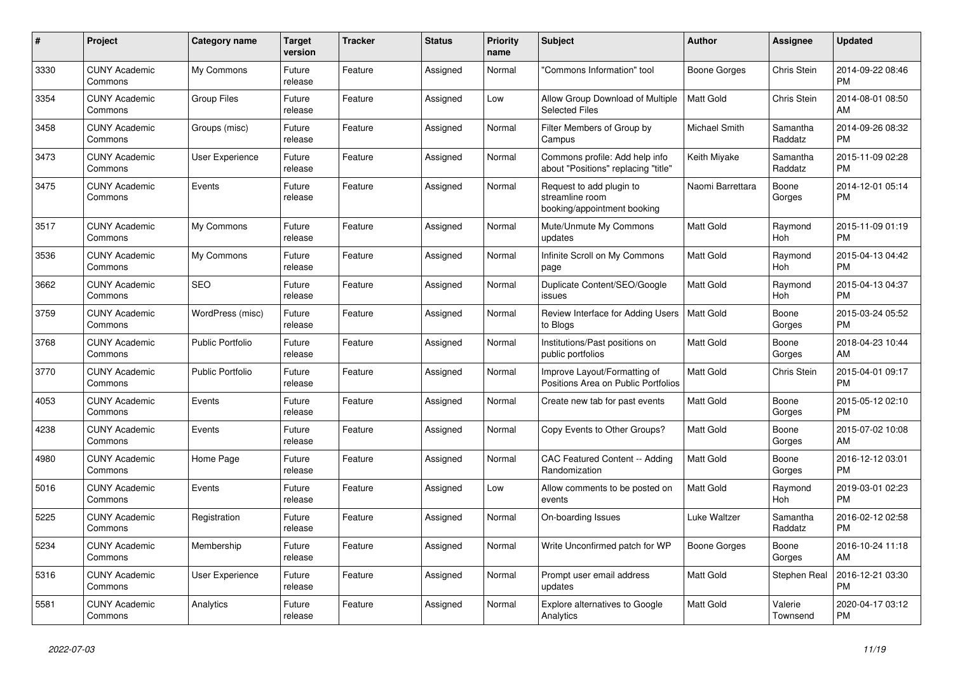| #    | <b>Project</b>                  | Category name           | <b>Target</b><br>version | <b>Tracker</b> | <b>Status</b> | <b>Priority</b><br>name | <b>Subject</b>                                                             | <b>Author</b>    | Assignee            | <b>Updated</b>                |
|------|---------------------------------|-------------------------|--------------------------|----------------|---------------|-------------------------|----------------------------------------------------------------------------|------------------|---------------------|-------------------------------|
| 3330 | <b>CUNY Academic</b><br>Commons | My Commons              | Future<br>release        | Feature        | Assigned      | Normal                  | "Commons Information" tool                                                 | Boone Gorges     | Chris Stein         | 2014-09-22 08:46<br><b>PM</b> |
| 3354 | <b>CUNY Academic</b><br>Commons | <b>Group Files</b>      | Future<br>release        | Feature        | Assigned      | Low                     | Allow Group Download of Multiple<br><b>Selected Files</b>                  | <b>Matt Gold</b> | <b>Chris Stein</b>  | 2014-08-01 08:50<br>AM        |
| 3458 | <b>CUNY Academic</b><br>Commons | Groups (misc)           | Future<br>release        | Feature        | Assigned      | Normal                  | Filter Members of Group by<br>Campus                                       | Michael Smith    | Samantha<br>Raddatz | 2014-09-26 08:32<br><b>PM</b> |
| 3473 | <b>CUNY Academic</b><br>Commons | <b>User Experience</b>  | Future<br>release        | Feature        | Assigned      | Normal                  | Commons profile: Add help info<br>about "Positions" replacing "title"      | Keith Miyake     | Samantha<br>Raddatz | 2015-11-09 02:28<br><b>PM</b> |
| 3475 | <b>CUNY Academic</b><br>Commons | Events                  | Future<br>release        | Feature        | Assigned      | Normal                  | Request to add plugin to<br>streamline room<br>booking/appointment booking | Naomi Barrettara | Boone<br>Gorges     | 2014-12-01 05:14<br><b>PM</b> |
| 3517 | <b>CUNY Academic</b><br>Commons | My Commons              | Future<br>release        | Feature        | Assigned      | Normal                  | Mute/Unmute My Commons<br>updates                                          | <b>Matt Gold</b> | Raymond<br>Hoh      | 2015-11-09 01:19<br><b>PM</b> |
| 3536 | <b>CUNY Academic</b><br>Commons | My Commons              | Future<br>release        | Feature        | Assigned      | Normal                  | Infinite Scroll on My Commons<br>page                                      | <b>Matt Gold</b> | Raymond<br>Hoh      | 2015-04-13 04:42<br><b>PM</b> |
| 3662 | <b>CUNY Academic</b><br>Commons | <b>SEO</b>              | Future<br>release        | Feature        | Assigned      | Normal                  | Duplicate Content/SEO/Google<br>issues                                     | <b>Matt Gold</b> | Raymond<br>Hoh      | 2015-04-13 04:37<br><b>PM</b> |
| 3759 | <b>CUNY Academic</b><br>Commons | WordPress (misc)        | Future<br>release        | Feature        | Assigned      | Normal                  | Review Interface for Adding Users<br>to Blogs                              | Matt Gold        | Boone<br>Gorges     | 2015-03-24 05:52<br><b>PM</b> |
| 3768 | <b>CUNY Academic</b><br>Commons | <b>Public Portfolio</b> | Future<br>release        | Feature        | Assigned      | Normal                  | Institutions/Past positions on<br>public portfolios                        | <b>Matt Gold</b> | Boone<br>Gorges     | 2018-04-23 10:44<br>AM        |
| 3770 | <b>CUNY Academic</b><br>Commons | <b>Public Portfolio</b> | Future<br>release        | Feature        | Assigned      | Normal                  | Improve Layout/Formatting of<br>Positions Area on Public Portfolios        | <b>Matt Gold</b> | Chris Stein         | 2015-04-01 09:17<br><b>PM</b> |
| 4053 | <b>CUNY Academic</b><br>Commons | Events                  | Future<br>release        | Feature        | Assigned      | Normal                  | Create new tab for past events                                             | Matt Gold        | Boone<br>Gorges     | 2015-05-12 02:10<br><b>PM</b> |
| 4238 | <b>CUNY Academic</b><br>Commons | Events                  | Future<br>release        | Feature        | Assigned      | Normal                  | Copy Events to Other Groups?                                               | <b>Matt Gold</b> | Boone<br>Gorges     | 2015-07-02 10:08<br>AM        |
| 4980 | <b>CUNY Academic</b><br>Commons | Home Page               | Future<br>release        | Feature        | Assigned      | Normal                  | CAC Featured Content -- Adding<br>Randomization                            | <b>Matt Gold</b> | Boone<br>Gorges     | 2016-12-12 03:01<br><b>PM</b> |
| 5016 | <b>CUNY Academic</b><br>Commons | Events                  | Future<br>release        | Feature        | Assigned      | Low                     | Allow comments to be posted on<br>events                                   | <b>Matt Gold</b> | Raymond<br>Hoh      | 2019-03-01 02:23<br><b>PM</b> |
| 5225 | <b>CUNY Academic</b><br>Commons | Registration            | Future<br>release        | Feature        | Assigned      | Normal                  | On-boarding Issues                                                         | Luke Waltzer     | Samantha<br>Raddatz | 2016-02-12 02:58<br><b>PM</b> |
| 5234 | <b>CUNY Academic</b><br>Commons | Membership              | Future<br>release        | Feature        | Assigned      | Normal                  | Write Unconfirmed patch for WP                                             | Boone Gorges     | Boone<br>Gorges     | 2016-10-24 11:18<br>AM        |
| 5316 | <b>CUNY Academic</b><br>Commons | User Experience         | Future<br>release        | Feature        | Assigned      | Normal                  | Prompt user email address<br>updates                                       | <b>Matt Gold</b> | Stephen Real        | 2016-12-21 03:30<br><b>PM</b> |
| 5581 | <b>CUNY Academic</b><br>Commons | Analytics               | Future<br>release        | Feature        | Assigned      | Normal                  | Explore alternatives to Google<br>Analytics                                | Matt Gold        | Valerie<br>Townsend | 2020-04-17 03:12<br><b>PM</b> |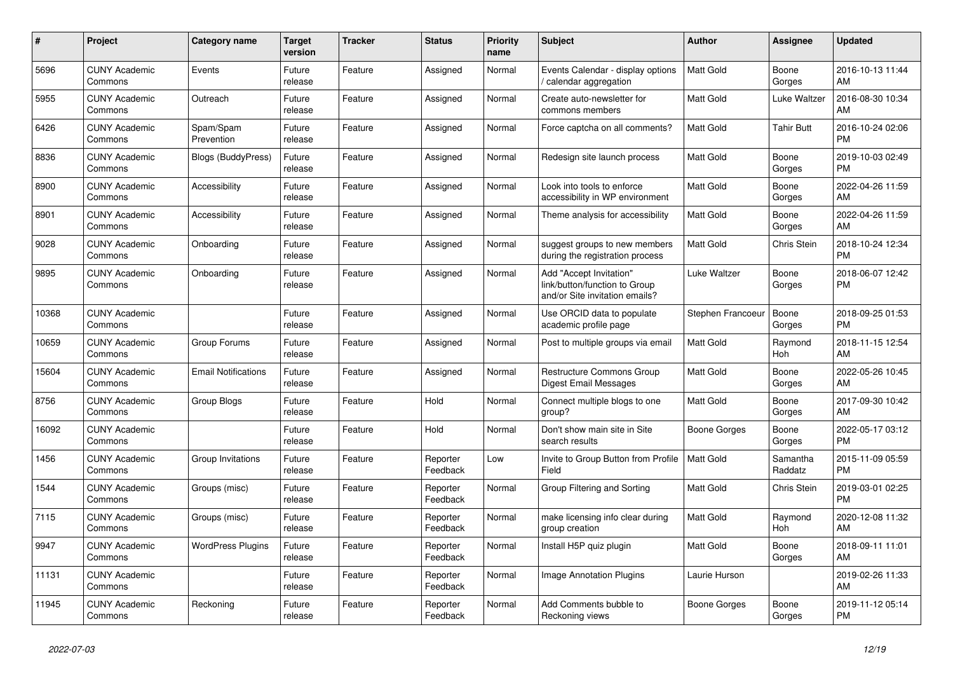| #     | <b>Project</b>                  | Category name              | Target<br>version | <b>Tracker</b> | <b>Status</b>        | <b>Priority</b><br>name | <b>Subject</b>                                                                             | <b>Author</b>     | Assignee            | <b>Updated</b>                |
|-------|---------------------------------|----------------------------|-------------------|----------------|----------------------|-------------------------|--------------------------------------------------------------------------------------------|-------------------|---------------------|-------------------------------|
| 5696  | <b>CUNY Academic</b><br>Commons | Events                     | Future<br>release | Feature        | Assigned             | Normal                  | Events Calendar - display options<br>calendar aggregation                                  | <b>Matt Gold</b>  | Boone<br>Gorges     | 2016-10-13 11:44<br>AM        |
| 5955  | <b>CUNY Academic</b><br>Commons | Outreach                   | Future<br>release | Feature        | Assigned             | Normal                  | Create auto-newsletter for<br>commons members                                              | Matt Gold         | Luke Waltzer        | 2016-08-30 10:34<br>AM        |
| 6426  | <b>CUNY Academic</b><br>Commons | Spam/Spam<br>Prevention    | Future<br>release | Feature        | Assigned             | Normal                  | Force captcha on all comments?                                                             | <b>Matt Gold</b>  | Tahir Butt          | 2016-10-24 02:06<br><b>PM</b> |
| 8836  | <b>CUNY Academic</b><br>Commons | <b>Blogs (BuddyPress)</b>  | Future<br>release | Feature        | Assigned             | Normal                  | Redesign site launch process                                                               | <b>Matt Gold</b>  | Boone<br>Gorges     | 2019-10-03 02:49<br><b>PM</b> |
| 8900  | <b>CUNY Academic</b><br>Commons | Accessibility              | Future<br>release | Feature        | Assigned             | Normal                  | Look into tools to enforce<br>accessibility in WP environment                              | Matt Gold         | Boone<br>Gorges     | 2022-04-26 11:59<br>AM        |
| 8901  | <b>CUNY Academic</b><br>Commons | Accessibility              | Future<br>release | Feature        | Assigned             | Normal                  | Theme analysis for accessibility                                                           | Matt Gold         | Boone<br>Gorges     | 2022-04-26 11:59<br>AM        |
| 9028  | <b>CUNY Academic</b><br>Commons | Onboarding                 | Future<br>release | Feature        | Assigned             | Normal                  | suggest groups to new members<br>during the registration process                           | Matt Gold         | Chris Stein         | 2018-10-24 12:34<br><b>PM</b> |
| 9895  | <b>CUNY Academic</b><br>Commons | Onboarding                 | Future<br>release | Feature        | Assigned             | Normal                  | Add "Accept Invitation"<br>link/button/function to Group<br>and/or Site invitation emails? | Luke Waltzer      | Boone<br>Gorges     | 2018-06-07 12:42<br>PM        |
| 10368 | <b>CUNY Academic</b><br>Commons |                            | Future<br>release | Feature        | Assigned             | Normal                  | Use ORCID data to populate<br>academic profile page                                        | Stephen Francoeur | Boone<br>Gorges     | 2018-09-25 01:53<br><b>PM</b> |
| 10659 | <b>CUNY Academic</b><br>Commons | Group Forums               | Future<br>release | Feature        | Assigned             | Normal                  | Post to multiple groups via email                                                          | <b>Matt Gold</b>  | Raymond<br>Hoh      | 2018-11-15 12:54<br>AM        |
| 15604 | <b>CUNY Academic</b><br>Commons | <b>Email Notifications</b> | Future<br>release | Feature        | Assigned             | Normal                  | Restructure Commons Group<br><b>Digest Email Messages</b>                                  | <b>Matt Gold</b>  | Boone<br>Gorges     | 2022-05-26 10:45<br>AM        |
| 8756  | <b>CUNY Academic</b><br>Commons | Group Blogs                | Future<br>release | Feature        | Hold                 | Normal                  | Connect multiple blogs to one<br>group?                                                    | Matt Gold         | Boone<br>Gorges     | 2017-09-30 10:42<br>AM        |
| 16092 | <b>CUNY Academic</b><br>Commons |                            | Future<br>release | Feature        | Hold                 | Normal                  | Don't show main site in Site<br>search results                                             | Boone Gorges      | Boone<br>Gorges     | 2022-05-17 03:12<br><b>PM</b> |
| 1456  | <b>CUNY Academic</b><br>Commons | Group Invitations          | Future<br>release | Feature        | Reporter<br>Feedback | Low                     | Invite to Group Button from Profile<br>Field                                               | <b>Matt Gold</b>  | Samantha<br>Raddatz | 2015-11-09 05:59<br><b>PM</b> |
| 1544  | <b>CUNY Academic</b><br>Commons | Groups (misc)              | Future<br>release | Feature        | Reporter<br>Feedback | Normal                  | Group Filtering and Sorting                                                                | Matt Gold         | Chris Stein         | 2019-03-01 02:25<br><b>PM</b> |
| 7115  | <b>CUNY Academic</b><br>Commons | Groups (misc)              | Future<br>release | Feature        | Reporter<br>Feedback | Normal                  | make licensing info clear during<br>group creation                                         | <b>Matt Gold</b>  | Raymond<br>Hoh      | 2020-12-08 11:32<br>AM        |
| 9947  | <b>CUNY Academic</b><br>Commons | <b>WordPress Plugins</b>   | Future<br>release | Feature        | Reporter<br>Feedback | Normal                  | Install H5P quiz plugin                                                                    | <b>Matt Gold</b>  | Boone<br>Gorges     | 2018-09-11 11:01<br>AM        |
| 11131 | <b>CUNY Academic</b><br>Commons |                            | Future<br>release | Feature        | Reporter<br>Feedback | Normal                  | <b>Image Annotation Plugins</b>                                                            | Laurie Hurson     |                     | 2019-02-26 11:33<br>AM        |
| 11945 | <b>CUNY Academic</b><br>Commons | Reckoning                  | Future<br>release | Feature        | Reporter<br>Feedback | Normal                  | Add Comments bubble to<br>Reckoning views                                                  | Boone Gorges      | Boone<br>Gorges     | 2019-11-12 05:14<br><b>PM</b> |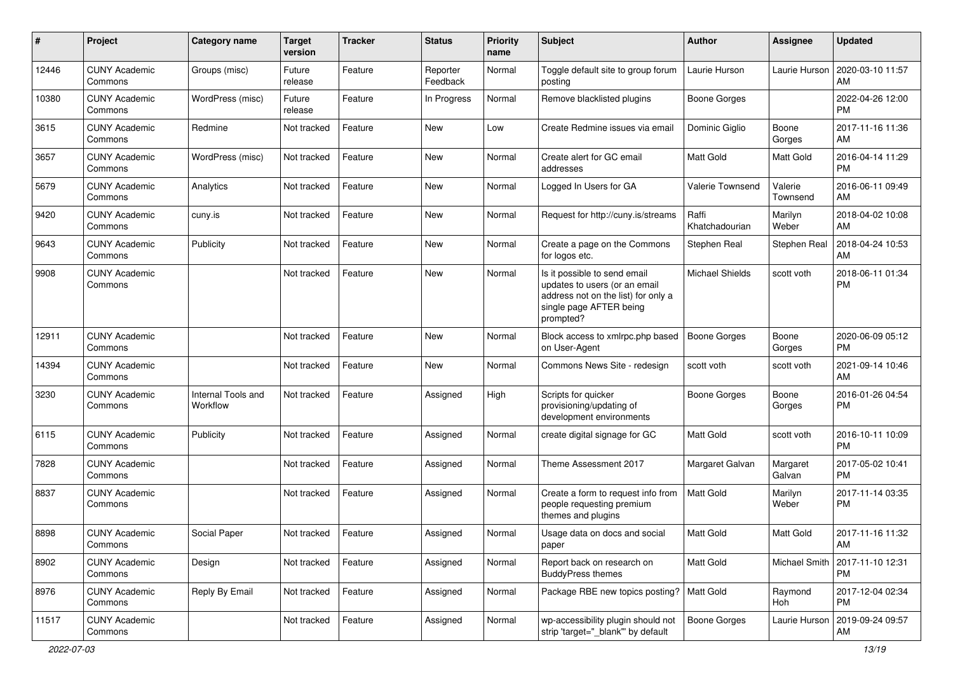| #     | Project                         | <b>Category name</b>           | <b>Target</b><br>version | <b>Tracker</b> | <b>Status</b>        | <b>Priority</b><br>name | Subject                                                                                                                                      | Author                  | Assignee            | <b>Updated</b>                |
|-------|---------------------------------|--------------------------------|--------------------------|----------------|----------------------|-------------------------|----------------------------------------------------------------------------------------------------------------------------------------------|-------------------------|---------------------|-------------------------------|
| 12446 | <b>CUNY Academic</b><br>Commons | Groups (misc)                  | Future<br>release        | Feature        | Reporter<br>Feedback | Normal                  | Toggle default site to group forum<br>posting                                                                                                | Laurie Hurson           | Laurie Hurson       | 2020-03-10 11:57<br>AM        |
| 10380 | <b>CUNY Academic</b><br>Commons | WordPress (misc)               | Future<br>release        | Feature        | In Progress          | Normal                  | Remove blacklisted plugins                                                                                                                   | <b>Boone Gorges</b>     |                     | 2022-04-26 12:00<br><b>PM</b> |
| 3615  | <b>CUNY Academic</b><br>Commons | Redmine                        | Not tracked              | Feature        | New                  | Low                     | Create Redmine issues via email                                                                                                              | Dominic Giglio          | Boone<br>Gorges     | 2017-11-16 11:36<br>AM        |
| 3657  | <b>CUNY Academic</b><br>Commons | WordPress (misc)               | Not tracked              | Feature        | <b>New</b>           | Normal                  | Create alert for GC email<br>addresses                                                                                                       | <b>Matt Gold</b>        | Matt Gold           | 2016-04-14 11:29<br><b>PM</b> |
| 5679  | <b>CUNY Academic</b><br>Commons | Analytics                      | Not tracked              | Feature        | <b>New</b>           | Normal                  | Logged In Users for GA                                                                                                                       | Valerie Townsend        | Valerie<br>Townsend | 2016-06-11 09:49<br>AM        |
| 9420  | <b>CUNY Academic</b><br>Commons | cuny.is                        | Not tracked              | Feature        | <b>New</b>           | Normal                  | Request for http://cuny.is/streams                                                                                                           | Raffi<br>Khatchadourian | Marilyn<br>Weber    | 2018-04-02 10:08<br>AM        |
| 9643  | <b>CUNY Academic</b><br>Commons | Publicity                      | Not tracked              | Feature        | New                  | Normal                  | Create a page on the Commons<br>for logos etc.                                                                                               | Stephen Real            | Stephen Real        | 2018-04-24 10:53<br>AM        |
| 9908  | <b>CUNY Academic</b><br>Commons |                                | Not tracked              | Feature        | <b>New</b>           | Normal                  | Is it possible to send email<br>updates to users (or an email<br>address not on the list) for only a<br>single page AFTER being<br>prompted? | <b>Michael Shields</b>  | scott voth          | 2018-06-11 01:34<br><b>PM</b> |
| 12911 | <b>CUNY Academic</b><br>Commons |                                | Not tracked              | Feature        | New                  | Normal                  | Block access to xmlrpc.php based<br>on User-Agent                                                                                            | <b>Boone Gorges</b>     | Boone<br>Gorges     | 2020-06-09 05:12<br><b>PM</b> |
| 14394 | <b>CUNY Academic</b><br>Commons |                                | Not tracked              | Feature        | New                  | Normal                  | Commons News Site - redesign                                                                                                                 | scott voth              | scott voth          | 2021-09-14 10:46<br>AM        |
| 3230  | <b>CUNY Academic</b><br>Commons | Internal Tools and<br>Workflow | Not tracked              | Feature        | Assigned             | High                    | Scripts for quicker<br>provisioning/updating of<br>development environments                                                                  | Boone Gorges            | Boone<br>Gorges     | 2016-01-26 04:54<br><b>PM</b> |
| 6115  | <b>CUNY Academic</b><br>Commons | Publicity                      | Not tracked              | Feature        | Assigned             | Normal                  | create digital signage for GC                                                                                                                | <b>Matt Gold</b>        | scott voth          | 2016-10-11 10:09<br><b>PM</b> |
| 7828  | <b>CUNY Academic</b><br>Commons |                                | Not tracked              | Feature        | Assigned             | Normal                  | Theme Assessment 2017                                                                                                                        | Margaret Galvan         | Margaret<br>Galvan  | 2017-05-02 10:41<br><b>PM</b> |
| 8837  | <b>CUNY Academic</b><br>Commons |                                | Not tracked              | Feature        | Assigned             | Normal                  | Create a form to request info from<br>people requesting premium<br>themes and plugins                                                        | <b>Matt Gold</b>        | Marilyn<br>Weber    | 2017-11-14 03:35<br><b>PM</b> |
| 8898  | <b>CUNY Academic</b><br>Commons | Social Paper                   | Not tracked              | Feature        | Assigned             | Normal                  | Usage data on docs and social<br>paper                                                                                                       | <b>Matt Gold</b>        | Matt Gold           | 2017-11-16 11:32<br>AM        |
| 8902  | <b>CUNY Academic</b><br>Commons | Design                         | Not tracked              | Feature        | Assigned             | Normal                  | Report back on research on<br><b>BuddyPress themes</b>                                                                                       | Matt Gold               | Michael Smith       | 2017-11-10 12:31<br><b>PM</b> |
| 8976  | <b>CUNY Academic</b><br>Commons | Reply By Email                 | Not tracked              | Feature        | Assigned             | Normal                  | Package RBE new topics posting?   Matt Gold                                                                                                  |                         | Raymond<br>Hoh      | 2017-12-04 02:34<br><b>PM</b> |
| 11517 | <b>CUNY Academic</b><br>Commons |                                | Not tracked              | Feature        | Assigned             | Normal                  | wp-accessibility plugin should not<br>strip 'target=" blank" by default                                                                      | Boone Gorges            | Laurie Hurson       | 2019-09-24 09:57<br>AM        |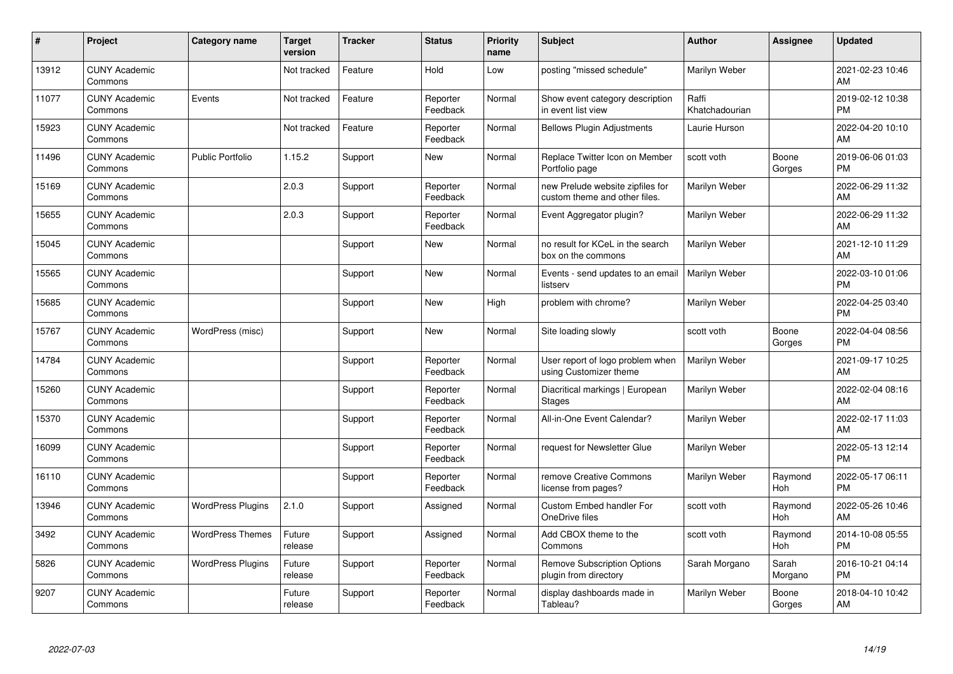| #     | Project                         | <b>Category name</b>     | <b>Target</b><br>version | <b>Tracker</b> | <b>Status</b>        | <b>Priority</b><br>name | <b>Subject</b>                                                    | <b>Author</b>           | Assignee         | <b>Updated</b>                |
|-------|---------------------------------|--------------------------|--------------------------|----------------|----------------------|-------------------------|-------------------------------------------------------------------|-------------------------|------------------|-------------------------------|
| 13912 | <b>CUNY Academic</b><br>Commons |                          | Not tracked              | Feature        | Hold                 | Low                     | posting "missed schedule"                                         | Marilyn Weber           |                  | 2021-02-23 10:46<br>AM        |
| 11077 | <b>CUNY Academic</b><br>Commons | Events                   | Not tracked              | Feature        | Reporter<br>Feedback | Normal                  | Show event category description<br>in event list view             | Raffi<br>Khatchadourian |                  | 2019-02-12 10:38<br><b>PM</b> |
| 15923 | <b>CUNY Academic</b><br>Commons |                          | Not tracked              | Feature        | Reporter<br>Feedback | Normal                  | <b>Bellows Plugin Adjustments</b>                                 | Laurie Hurson           |                  | 2022-04-20 10:10<br>AM        |
| 11496 | <b>CUNY Academic</b><br>Commons | <b>Public Portfolio</b>  | 1.15.2                   | Support        | <b>New</b>           | Normal                  | Replace Twitter Icon on Member<br>Portfolio page                  | scott voth              | Boone<br>Gorges  | 2019-06-06 01:03<br><b>PM</b> |
| 15169 | <b>CUNY Academic</b><br>Commons |                          | 2.0.3                    | Support        | Reporter<br>Feedback | Normal                  | new Prelude website zipfiles for<br>custom theme and other files. | Marilyn Weber           |                  | 2022-06-29 11:32<br>AM        |
| 15655 | <b>CUNY Academic</b><br>Commons |                          | 2.0.3                    | Support        | Reporter<br>Feedback | Normal                  | Event Aggregator plugin?                                          | Marilyn Weber           |                  | 2022-06-29 11:32<br>AM        |
| 15045 | <b>CUNY Academic</b><br>Commons |                          |                          | Support        | New                  | Normal                  | no result for KCeL in the search<br>box on the commons            | Marilyn Weber           |                  | 2021-12-10 11:29<br>AM        |
| 15565 | <b>CUNY Academic</b><br>Commons |                          |                          | Support        | <b>New</b>           | Normal                  | Events - send updates to an email<br>listserv                     | Marilyn Weber           |                  | 2022-03-10 01:06<br><b>PM</b> |
| 15685 | <b>CUNY Academic</b><br>Commons |                          |                          | Support        | New                  | High                    | problem with chrome?                                              | Marilyn Weber           |                  | 2022-04-25 03:40<br><b>PM</b> |
| 15767 | <b>CUNY Academic</b><br>Commons | WordPress (misc)         |                          | Support        | New                  | Normal                  | Site loading slowly                                               | scott voth              | Boone<br>Gorges  | 2022-04-04 08:56<br><b>PM</b> |
| 14784 | <b>CUNY Academic</b><br>Commons |                          |                          | Support        | Reporter<br>Feedback | Normal                  | User report of logo problem when<br>using Customizer theme        | Marilyn Weber           |                  | 2021-09-17 10:25<br>AM        |
| 15260 | <b>CUNY Academic</b><br>Commons |                          |                          | Support        | Reporter<br>Feedback | Normal                  | Diacritical markings   European<br><b>Stages</b>                  | Marilyn Weber           |                  | 2022-02-04 08:16<br>AM        |
| 15370 | <b>CUNY Academic</b><br>Commons |                          |                          | Support        | Reporter<br>Feedback | Normal                  | All-in-One Event Calendar?                                        | Marilyn Weber           |                  | 2022-02-17 11:03<br>AM        |
| 16099 | <b>CUNY Academic</b><br>Commons |                          |                          | Support        | Reporter<br>Feedback | Normal                  | request for Newsletter Glue                                       | Marilyn Weber           |                  | 2022-05-13 12:14<br><b>PM</b> |
| 16110 | <b>CUNY Academic</b><br>Commons |                          |                          | Support        | Reporter<br>Feedback | Normal                  | remove Creative Commons<br>license from pages?                    | Marilyn Weber           | Raymond<br>Hoh   | 2022-05-17 06:11<br><b>PM</b> |
| 13946 | <b>CUNY Academic</b><br>Commons | <b>WordPress Plugins</b> | 2.1.0                    | Support        | Assigned             | Normal                  | Custom Embed handler For<br>OneDrive files                        | scott voth              | Raymond<br>Hoh   | 2022-05-26 10:46<br>AM        |
| 3492  | <b>CUNY Academic</b><br>Commons | <b>WordPress Themes</b>  | Future<br>release        | Support        | Assigned             | Normal                  | Add CBOX theme to the<br>Commons                                  | scott voth              | Raymond<br>Hoh   | 2014-10-08 05:55<br><b>PM</b> |
| 5826  | <b>CUNY Academic</b><br>Commons | <b>WordPress Plugins</b> | Future<br>release        | Support        | Reporter<br>Feedback | Normal                  | <b>Remove Subscription Options</b><br>plugin from directory       | Sarah Morgano           | Sarah<br>Morgano | 2016-10-21 04:14<br><b>PM</b> |
| 9207  | <b>CUNY Academic</b><br>Commons |                          | Future<br>release        | Support        | Reporter<br>Feedback | Normal                  | display dashboards made in<br>Tableau?                            | Marilyn Weber           | Boone<br>Gorges  | 2018-04-10 10:42<br>AM        |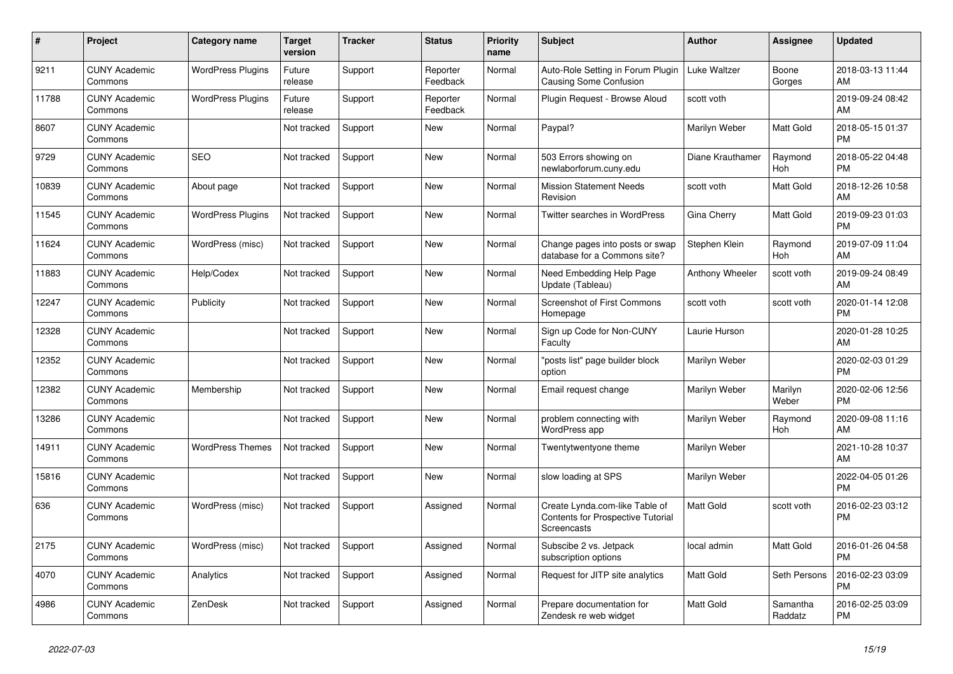| $\pmb{\sharp}$ | <b>Project</b>                  | Category name            | <b>Target</b><br>version | <b>Tracker</b> | <b>Status</b>        | <b>Priority</b><br>name | <b>Subject</b>                                                                     | <b>Author</b>    | Assignee            | <b>Updated</b>                |
|----------------|---------------------------------|--------------------------|--------------------------|----------------|----------------------|-------------------------|------------------------------------------------------------------------------------|------------------|---------------------|-------------------------------|
| 9211           | <b>CUNY Academic</b><br>Commons | <b>WordPress Plugins</b> | Future<br>release        | Support        | Reporter<br>Feedback | Normal                  | Auto-Role Setting in Forum Plugin<br>Causing Some Confusion                        | Luke Waltzer     | Boone<br>Gorges     | 2018-03-13 11:44<br>AM        |
| 11788          | <b>CUNY Academic</b><br>Commons | <b>WordPress Plugins</b> | Future<br>release        | Support        | Reporter<br>Feedback | Normal                  | Plugin Request - Browse Aloud                                                      | scott voth       |                     | 2019-09-24 08:42<br>AM        |
| 8607           | <b>CUNY Academic</b><br>Commons |                          | Not tracked              | Support        | New                  | Normal                  | Paypal?                                                                            | Marilyn Weber    | Matt Gold           | 2018-05-15 01:37<br><b>PM</b> |
| 9729           | <b>CUNY Academic</b><br>Commons | <b>SEO</b>               | Not tracked              | Support        | <b>New</b>           | Normal                  | 503 Errors showing on<br>newlaborforum.cuny.edu                                    | Diane Krauthamer | Raymond<br>Hoh      | 2018-05-22 04:48<br><b>PM</b> |
| 10839          | <b>CUNY Academic</b><br>Commons | About page               | Not tracked              | Support        | New                  | Normal                  | <b>Mission Statement Needs</b><br>Revision                                         | scott voth       | Matt Gold           | 2018-12-26 10:58<br>AM        |
| 11545          | <b>CUNY Academic</b><br>Commons | <b>WordPress Plugins</b> | Not tracked              | Support        | New                  | Normal                  | <b>Twitter searches in WordPress</b>                                               | Gina Cherry      | Matt Gold           | 2019-09-23 01:03<br><b>PM</b> |
| 11624          | <b>CUNY Academic</b><br>Commons | WordPress (misc)         | Not tracked              | Support        | <b>New</b>           | Normal                  | Change pages into posts or swap<br>database for a Commons site?                    | Stephen Klein    | Raymond<br>Hoh      | 2019-07-09 11:04<br>AM        |
| 11883          | <b>CUNY Academic</b><br>Commons | Help/Codex               | Not tracked              | Support        | <b>New</b>           | Normal                  | Need Embedding Help Page<br>Update (Tableau)                                       | Anthony Wheeler  | scott voth          | 2019-09-24 08:49<br>AM        |
| 12247          | <b>CUNY Academic</b><br>Commons | Publicity                | Not tracked              | Support        | New                  | Normal                  | <b>Screenshot of First Commons</b><br>Homepage                                     | scott voth       | scott voth          | 2020-01-14 12:08<br><b>PM</b> |
| 12328          | <b>CUNY Academic</b><br>Commons |                          | Not tracked              | Support        | New                  | Normal                  | Sign up Code for Non-CUNY<br>Faculty                                               | Laurie Hurson    |                     | 2020-01-28 10:25<br>AM        |
| 12352          | <b>CUNY Academic</b><br>Commons |                          | Not tracked              | Support        | <b>New</b>           | Normal                  | "posts list" page builder block<br>option                                          | Marilyn Weber    |                     | 2020-02-03 01:29<br><b>PM</b> |
| 12382          | <b>CUNY Academic</b><br>Commons | Membership               | Not tracked              | Support        | New                  | Normal                  | Email request change                                                               | Marilyn Weber    | Marilyn<br>Weber    | 2020-02-06 12:56<br><b>PM</b> |
| 13286          | <b>CUNY Academic</b><br>Commons |                          | Not tracked              | Support        | New                  | Normal                  | problem connecting with<br>WordPress app                                           | Marilyn Weber    | Raymond<br>Hoh      | 2020-09-08 11:16<br>AM        |
| 14911          | <b>CUNY Academic</b><br>Commons | <b>WordPress Themes</b>  | Not tracked              | Support        | <b>New</b>           | Normal                  | Twentytwentyone theme                                                              | Marilyn Weber    |                     | 2021-10-28 10:37<br>AM        |
| 15816          | <b>CUNY Academic</b><br>Commons |                          | Not tracked              | Support        | <b>New</b>           | Normal                  | slow loading at SPS                                                                | Marilyn Weber    |                     | 2022-04-05 01:26<br><b>PM</b> |
| 636            | <b>CUNY Academic</b><br>Commons | WordPress (misc)         | Not tracked              | Support        | Assigned             | Normal                  | Create Lynda.com-like Table of<br>Contents for Prospective Tutorial<br>Screencasts | <b>Matt Gold</b> | scott voth          | 2016-02-23 03:12<br><b>PM</b> |
| 2175           | <b>CUNY Academic</b><br>Commons | WordPress (misc)         | Not tracked              | Support        | Assigned             | Normal                  | Subscibe 2 vs. Jetpack<br>subscription options                                     | local admin      | Matt Gold           | 2016-01-26 04:58<br><b>PM</b> |
| 4070           | <b>CUNY Academic</b><br>Commons | Analytics                | Not tracked              | Support        | Assigned             | Normal                  | Request for JITP site analytics                                                    | <b>Matt Gold</b> | Seth Persons        | 2016-02-23 03:09<br><b>PM</b> |
| 4986           | <b>CUNY Academic</b><br>Commons | ZenDesk                  | Not tracked              | Support        | Assigned             | Normal                  | Prepare documentation for<br>Zendesk re web widget                                 | <b>Matt Gold</b> | Samantha<br>Raddatz | 2016-02-25 03:09<br><b>PM</b> |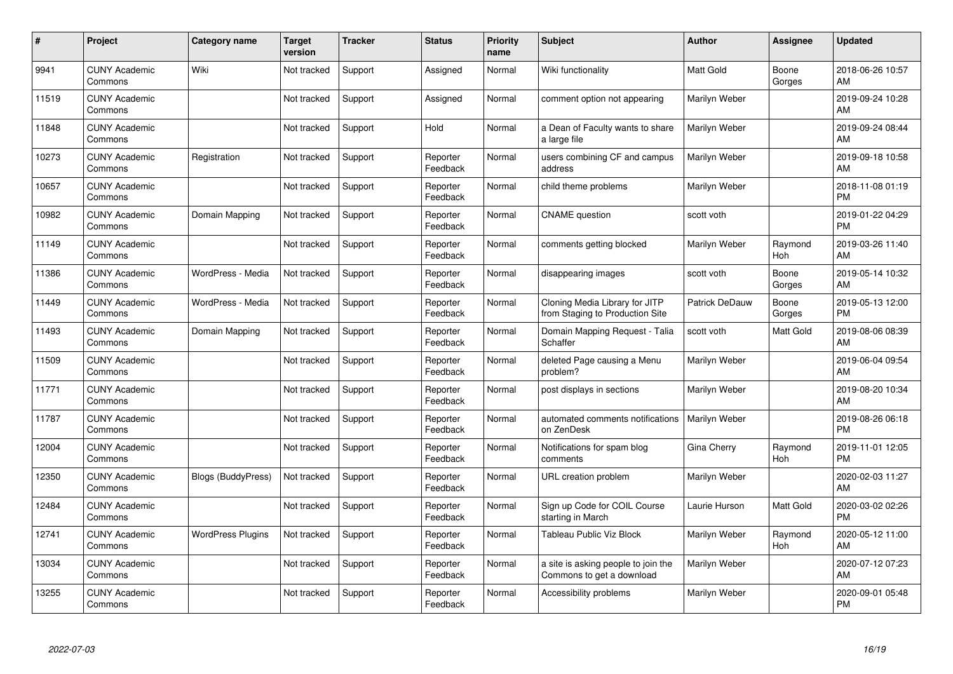| #     | Project                         | <b>Category name</b>      | <b>Target</b><br>version | <b>Tracker</b> | <b>Status</b>        | <b>Priority</b><br>name | <b>Subject</b>                                                    | <b>Author</b>    | Assignee        | <b>Updated</b>                |
|-------|---------------------------------|---------------------------|--------------------------|----------------|----------------------|-------------------------|-------------------------------------------------------------------|------------------|-----------------|-------------------------------|
| 9941  | <b>CUNY Academic</b><br>Commons | Wiki                      | Not tracked              | Support        | Assigned             | Normal                  | Wiki functionality                                                | <b>Matt Gold</b> | Boone<br>Gorges | 2018-06-26 10:57<br>AM        |
| 11519 | <b>CUNY Academic</b><br>Commons |                           | Not tracked              | Support        | Assigned             | Normal                  | comment option not appearing                                      | Marilyn Weber    |                 | 2019-09-24 10:28<br>AM        |
| 11848 | <b>CUNY Academic</b><br>Commons |                           | Not tracked              | Support        | Hold                 | Normal                  | a Dean of Faculty wants to share<br>a large file                  | Marilyn Weber    |                 | 2019-09-24 08:44<br>AM        |
| 10273 | <b>CUNY Academic</b><br>Commons | Registration              | Not tracked              | Support        | Reporter<br>Feedback | Normal                  | users combining CF and campus<br>address                          | Marilyn Weber    |                 | 2019-09-18 10:58<br>AM        |
| 10657 | <b>CUNY Academic</b><br>Commons |                           | Not tracked              | Support        | Reporter<br>Feedback | Normal                  | child theme problems                                              | Marilyn Weber    |                 | 2018-11-08 01:19<br><b>PM</b> |
| 10982 | <b>CUNY Academic</b><br>Commons | Domain Mapping            | Not tracked              | Support        | Reporter<br>Feedback | Normal                  | <b>CNAME</b> question                                             | scott voth       |                 | 2019-01-22 04:29<br><b>PM</b> |
| 11149 | <b>CUNY Academic</b><br>Commons |                           | Not tracked              | Support        | Reporter<br>Feedback | Normal                  | comments getting blocked                                          | Marilyn Weber    | Raymond<br>Hoh  | 2019-03-26 11:40<br>AM        |
| 11386 | <b>CUNY Academic</b><br>Commons | WordPress - Media         | Not tracked              | Support        | Reporter<br>Feedback | Normal                  | disappearing images                                               | scott voth       | Boone<br>Gorges | 2019-05-14 10:32<br>AM        |
| 11449 | <b>CUNY Academic</b><br>Commons | WordPress - Media         | Not tracked              | Support        | Reporter<br>Feedback | Normal                  | Cloning Media Library for JITP<br>from Staging to Production Site | Patrick DeDauw   | Boone<br>Gorges | 2019-05-13 12:00<br><b>PM</b> |
| 11493 | <b>CUNY Academic</b><br>Commons | Domain Mapping            | Not tracked              | Support        | Reporter<br>Feedback | Normal                  | Domain Mapping Request - Talia<br>Schaffer                        | scott voth       | Matt Gold       | 2019-08-06 08:39<br>AM        |
| 11509 | <b>CUNY Academic</b><br>Commons |                           | Not tracked              | Support        | Reporter<br>Feedback | Normal                  | deleted Page causing a Menu<br>problem?                           | Marilyn Weber    |                 | 2019-06-04 09:54<br>AM        |
| 11771 | <b>CUNY Academic</b><br>Commons |                           | Not tracked              | Support        | Reporter<br>Feedback | Normal                  | post displays in sections                                         | Marilyn Weber    |                 | 2019-08-20 10:34<br>AM        |
| 11787 | <b>CUNY Academic</b><br>Commons |                           | Not tracked              | Support        | Reporter<br>Feedback | Normal                  | automated comments notifications<br>on ZenDesk                    | Marilyn Weber    |                 | 2019-08-26 06:18<br><b>PM</b> |
| 12004 | <b>CUNY Academic</b><br>Commons |                           | Not tracked              | Support        | Reporter<br>Feedback | Normal                  | Notifications for spam blog<br>comments                           | Gina Cherry      | Raymond<br>Hoh  | 2019-11-01 12:05<br><b>PM</b> |
| 12350 | <b>CUNY Academic</b><br>Commons | <b>Blogs (BuddyPress)</b> | Not tracked              | Support        | Reporter<br>Feedback | Normal                  | URL creation problem                                              | Marilyn Weber    |                 | 2020-02-03 11:27<br>AM        |
| 12484 | <b>CUNY Academic</b><br>Commons |                           | Not tracked              | Support        | Reporter<br>Feedback | Normal                  | Sign up Code for COIL Course<br>starting in March                 | Laurie Hurson    | Matt Gold       | 2020-03-02 02:26<br><b>PM</b> |
| 12741 | <b>CUNY Academic</b><br>Commons | <b>WordPress Plugins</b>  | Not tracked              | Support        | Reporter<br>Feedback | Normal                  | <b>Tableau Public Viz Block</b>                                   | Marilyn Weber    | Raymond<br>Hoh  | 2020-05-12 11:00<br><b>AM</b> |
| 13034 | <b>CUNY Academic</b><br>Commons |                           | Not tracked              | Support        | Reporter<br>Feedback | Normal                  | a site is asking people to join the<br>Commons to get a download  | Marilyn Weber    |                 | 2020-07-12 07:23<br>AM        |
| 13255 | <b>CUNY Academic</b><br>Commons |                           | Not tracked              | Support        | Reporter<br>Feedback | Normal                  | Accessibility problems                                            | Marilyn Weber    |                 | 2020-09-01 05:48<br><b>PM</b> |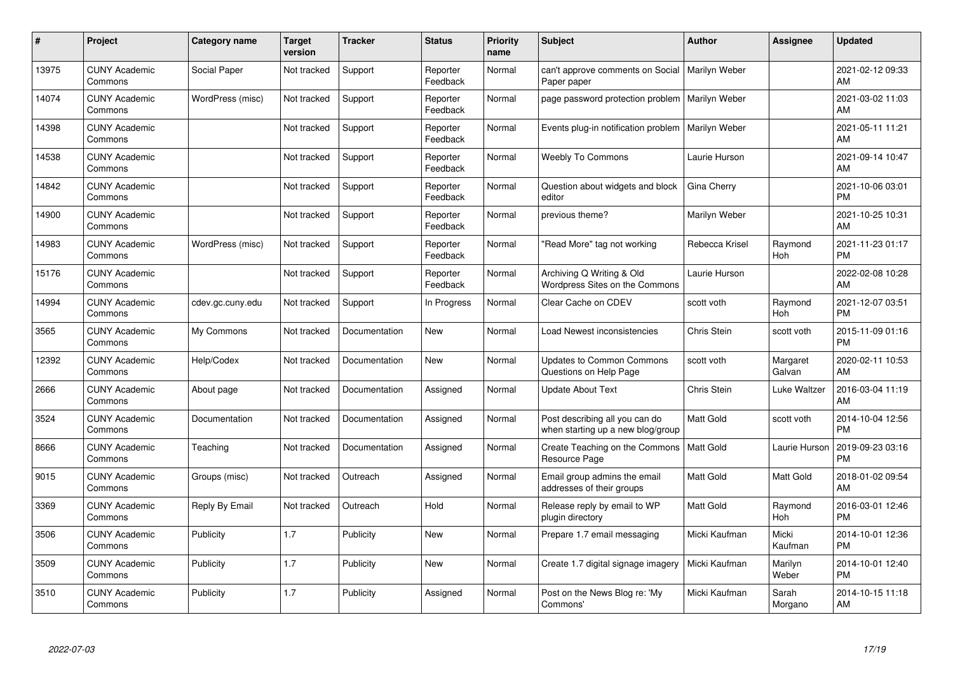| #     | Project                         | <b>Category name</b> | Target<br>version | <b>Tracker</b> | <b>Status</b>        | Priority<br>name | <b>Subject</b>                                                      | <b>Author</b>    | <b>Assignee</b>    | <b>Updated</b>                |
|-------|---------------------------------|----------------------|-------------------|----------------|----------------------|------------------|---------------------------------------------------------------------|------------------|--------------------|-------------------------------|
| 13975 | <b>CUNY Academic</b><br>Commons | Social Paper         | Not tracked       | Support        | Reporter<br>Feedback | Normal           | can't approve comments on Social<br>Paper paper                     | Marilyn Weber    |                    | 2021-02-12 09:33<br>AM.       |
| 14074 | <b>CUNY Academic</b><br>Commons | WordPress (misc)     | Not tracked       | Support        | Reporter<br>Feedback | Normal           | page password protection problem   Marilyn Weber                    |                  |                    | 2021-03-02 11:03<br><b>AM</b> |
| 14398 | <b>CUNY Academic</b><br>Commons |                      | Not tracked       | Support        | Reporter<br>Feedback | Normal           | Events plug-in notification problem                                 | Marilyn Weber    |                    | 2021-05-11 11:21<br>AM        |
| 14538 | <b>CUNY Academic</b><br>Commons |                      | Not tracked       | Support        | Reporter<br>Feedback | Normal           | <b>Weebly To Commons</b>                                            | Laurie Hurson    |                    | 2021-09-14 10:47<br>AM        |
| 14842 | <b>CUNY Academic</b><br>Commons |                      | Not tracked       | Support        | Reporter<br>Feedback | Normal           | Question about widgets and block<br>editor                          | Gina Cherry      |                    | 2021-10-06 03:01<br><b>PM</b> |
| 14900 | <b>CUNY Academic</b><br>Commons |                      | Not tracked       | Support        | Reporter<br>Feedback | Normal           | previous theme?                                                     | Marilyn Weber    |                    | 2021-10-25 10:31<br>AM        |
| 14983 | <b>CUNY Academic</b><br>Commons | WordPress (misc)     | Not tracked       | Support        | Reporter<br>Feedback | Normal           | "Read More" tag not working                                         | Rebecca Krisel   | Raymond<br>Hoh     | 2021-11-23 01:17<br><b>PM</b> |
| 15176 | <b>CUNY Academic</b><br>Commons |                      | Not tracked       | Support        | Reporter<br>Feedback | Normal           | Archiving Q Writing & Old<br>Wordpress Sites on the Commons         | Laurie Hurson    |                    | 2022-02-08 10:28<br>AM        |
| 14994 | <b>CUNY Academic</b><br>Commons | cdev.gc.cuny.edu     | Not tracked       | Support        | In Progress          | Normal           | Clear Cache on CDEV                                                 | scott voth       | Raymond<br>Hoh     | 2021-12-07 03:51<br><b>PM</b> |
| 3565  | <b>CUNY Academic</b><br>Commons | My Commons           | Not tracked       | Documentation  | New                  | Normal           | Load Newest inconsistencies                                         | Chris Stein      | scott voth         | 2015-11-09 01:16<br><b>PM</b> |
| 12392 | <b>CUNY Academic</b><br>Commons | Help/Codex           | Not tracked       | Documentation  | New                  | Normal           | <b>Updates to Common Commons</b><br>Questions on Help Page          | scott voth       | Margaret<br>Galvan | 2020-02-11 10:53<br>AM        |
| 2666  | <b>CUNY Academic</b><br>Commons | About page           | Not tracked       | Documentation  | Assigned             | Normal           | <b>Update About Text</b>                                            | Chris Stein      | Luke Waltzer       | 2016-03-04 11:19<br><b>AM</b> |
| 3524  | <b>CUNY Academic</b><br>Commons | Documentation        | Not tracked       | Documentation  | Assigned             | Normal           | Post describing all you can do<br>when starting up a new blog/group | Matt Gold        | scott voth         | 2014-10-04 12:56<br><b>PM</b> |
| 8666  | <b>CUNY Academic</b><br>Commons | Teaching             | Not tracked       | Documentation  | Assigned             | Normal           | Create Teaching on the Commons<br>Resource Page                     | <b>Matt Gold</b> | Laurie Hurson      | 2019-09-23 03:16<br><b>PM</b> |
| 9015  | <b>CUNY Academic</b><br>Commons | Groups (misc)        | Not tracked       | Outreach       | Assigned             | Normal           | Email group admins the email<br>addresses of their groups           | <b>Matt Gold</b> | Matt Gold          | 2018-01-02 09:54<br>AM        |
| 3369  | <b>CUNY Academic</b><br>Commons | Reply By Email       | Not tracked       | Outreach       | Hold                 | Normal           | Release reply by email to WP<br>plugin directory                    | <b>Matt Gold</b> | Raymond<br>Hoh     | 2016-03-01 12:46<br><b>PM</b> |
| 3506  | <b>CUNY Academic</b><br>Commons | Publicity            | 1.7               | Publicity      | New                  | Normal           | Prepare 1.7 email messaging                                         | Micki Kaufman    | Micki<br>Kaufman   | 2014-10-01 12:36<br><b>PM</b> |
| 3509  | <b>CUNY Academic</b><br>Commons | Publicity            | 1.7               | Publicity      | New                  | Normal           | Create 1.7 digital signage imagery                                  | Micki Kaufman    | Marilyn<br>Weber   | 2014-10-01 12:40<br><b>PM</b> |
| 3510  | <b>CUNY Academic</b><br>Commons | Publicity            | 1.7               | Publicity      | Assigned             | Normal           | Post on the News Blog re: 'My<br>Commons'                           | Micki Kaufman    | Sarah<br>Morgano   | 2014-10-15 11:18<br>AM        |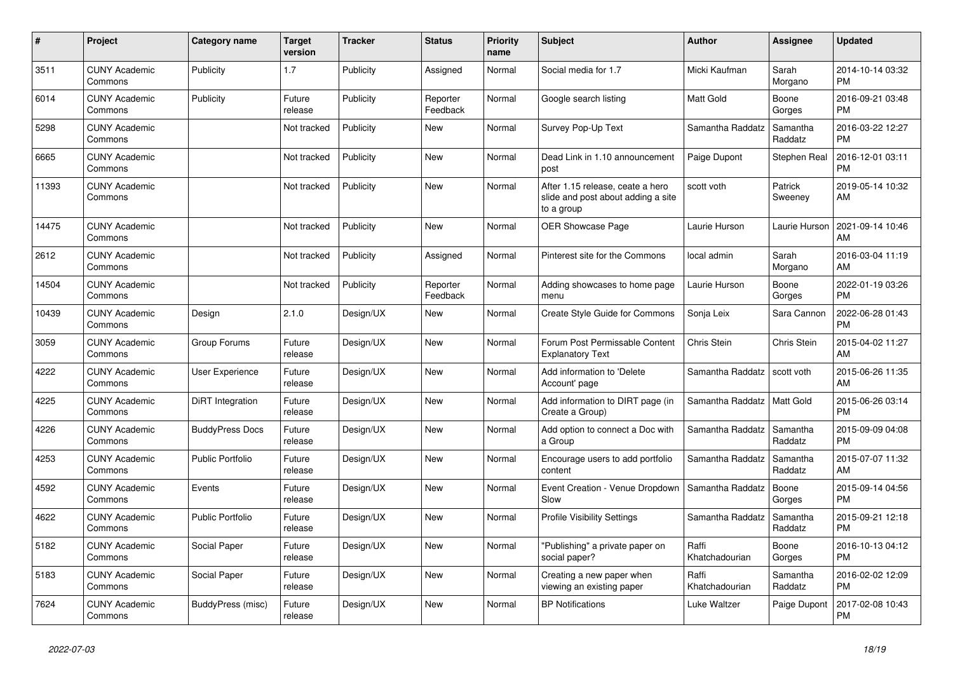| #     | <b>Project</b>                  | Category name           | <b>Target</b><br>version | <b>Tracker</b> | <b>Status</b>        | <b>Priority</b><br>name | <b>Subject</b>                                                                       | <b>Author</b>           | Assignee            | <b>Updated</b>                |
|-------|---------------------------------|-------------------------|--------------------------|----------------|----------------------|-------------------------|--------------------------------------------------------------------------------------|-------------------------|---------------------|-------------------------------|
| 3511  | <b>CUNY Academic</b><br>Commons | Publicity               | 1.7                      | Publicity      | Assigned             | Normal                  | Social media for 1.7                                                                 | Micki Kaufman           | Sarah<br>Morgano    | 2014-10-14 03:32<br><b>PM</b> |
| 6014  | <b>CUNY Academic</b><br>Commons | Publicity               | Future<br>release        | Publicity      | Reporter<br>Feedback | Normal                  | Google search listing                                                                | <b>Matt Gold</b>        | Boone<br>Gorges     | 2016-09-21 03:48<br><b>PM</b> |
| 5298  | <b>CUNY Academic</b><br>Commons |                         | Not tracked              | Publicity      | New                  | Normal                  | Survey Pop-Up Text                                                                   | Samantha Raddatz        | Samantha<br>Raddatz | 2016-03-22 12:27<br><b>PM</b> |
| 6665  | <b>CUNY Academic</b><br>Commons |                         | Not tracked              | Publicity      | <b>New</b>           | Normal                  | Dead Link in 1.10 announcement<br>post                                               | Paige Dupont            | Stephen Real        | 2016-12-01 03:11<br><b>PM</b> |
| 11393 | <b>CUNY Academic</b><br>Commons |                         | Not tracked              | Publicity      | <b>New</b>           | Normal                  | After 1.15 release, ceate a hero<br>slide and post about adding a site<br>to a group | scott voth              | Patrick<br>Sweeney  | 2019-05-14 10:32<br>AM        |
| 14475 | <b>CUNY Academic</b><br>Commons |                         | Not tracked              | Publicity      | <b>New</b>           | Normal                  | OER Showcase Page                                                                    | Laurie Hurson           | Laurie Hurson       | 2021-09-14 10:46<br>AM        |
| 2612  | <b>CUNY Academic</b><br>Commons |                         | Not tracked              | Publicity      | Assigned             | Normal                  | Pinterest site for the Commons                                                       | local admin             | Sarah<br>Morgano    | 2016-03-04 11:19<br>AM        |
| 14504 | <b>CUNY Academic</b><br>Commons |                         | Not tracked              | Publicity      | Reporter<br>Feedback | Normal                  | Adding showcases to home page<br>menu                                                | Laurie Hurson           | Boone<br>Gorges     | 2022-01-19 03:26<br><b>PM</b> |
| 10439 | <b>CUNY Academic</b><br>Commons | Design                  | 2.1.0                    | Design/UX      | <b>New</b>           | Normal                  | Create Style Guide for Commons                                                       | Sonja Leix              | Sara Cannon         | 2022-06-28 01:43<br><b>PM</b> |
| 3059  | <b>CUNY Academic</b><br>Commons | Group Forums            | Future<br>release        | Design/UX      | <b>New</b>           | Normal                  | Forum Post Permissable Content<br><b>Explanatory Text</b>                            | Chris Stein             | Chris Stein         | 2015-04-02 11:27<br>AM        |
| 4222  | <b>CUNY Academic</b><br>Commons | User Experience         | Future<br>release        | Design/UX      | New                  | Normal                  | Add information to 'Delete<br>Account' page                                          | Samantha Raddatz        | scott voth          | 2015-06-26 11:35<br>AM        |
| 4225  | <b>CUNY Academic</b><br>Commons | DiRT Integration        | Future<br>release        | Design/UX      | <b>New</b>           | Normal                  | Add information to DIRT page (in<br>Create a Group)                                  | Samantha Raddatz        | Matt Gold           | 2015-06-26 03:14<br><b>PM</b> |
| 4226  | <b>CUNY Academic</b><br>Commons | <b>BuddyPress Docs</b>  | Future<br>release        | Design/UX      | <b>New</b>           | Normal                  | Add option to connect a Doc with<br>a Group                                          | Samantha Raddatz        | Samantha<br>Raddatz | 2015-09-09 04:08<br><b>PM</b> |
| 4253  | <b>CUNY Academic</b><br>Commons | <b>Public Portfolio</b> | Future<br>release        | Design/UX      | <b>New</b>           | Normal                  | Encourage users to add portfolio<br>content                                          | Samantha Raddatz        | Samantha<br>Raddatz | 2015-07-07 11:32<br>AM        |
| 4592  | <b>CUNY Academic</b><br>Commons | Events                  | Future<br>release        | Design/UX      | <b>New</b>           | Normal                  | Event Creation - Venue Dropdown<br>Slow                                              | Samantha Raddatz        | Boone<br>Gorges     | 2015-09-14 04:56<br><b>PM</b> |
| 4622  | <b>CUNY Academic</b><br>Commons | <b>Public Portfolio</b> | Future<br>release        | Design/UX      | <b>New</b>           | Normal                  | <b>Profile Visibility Settings</b>                                                   | Samantha Raddatz        | Samantha<br>Raddatz | 2015-09-21 12:18<br><b>PM</b> |
| 5182  | <b>CUNY Academic</b><br>Commons | Social Paper            | Future<br>release        | Design/UX      | <b>New</b>           | Normal                  | "Publishing" a private paper on<br>social paper?                                     | Raffi<br>Khatchadourian | Boone<br>Gorges     | 2016-10-13 04:12<br><b>PM</b> |
| 5183  | <b>CUNY Academic</b><br>Commons | Social Paper            | Future<br>release        | Design/UX      | New                  | Normal                  | Creating a new paper when<br>viewing an existing paper                               | Raffi<br>Khatchadourian | Samantha<br>Raddatz | 2016-02-02 12:09<br><b>PM</b> |
| 7624  | <b>CUNY Academic</b><br>Commons | BuddyPress (misc)       | Future<br>release        | Design/UX      | <b>New</b>           | Normal                  | <b>BP</b> Notifications                                                              | Luke Waltzer            | Paige Dupont        | 2017-02-08 10:43<br><b>PM</b> |